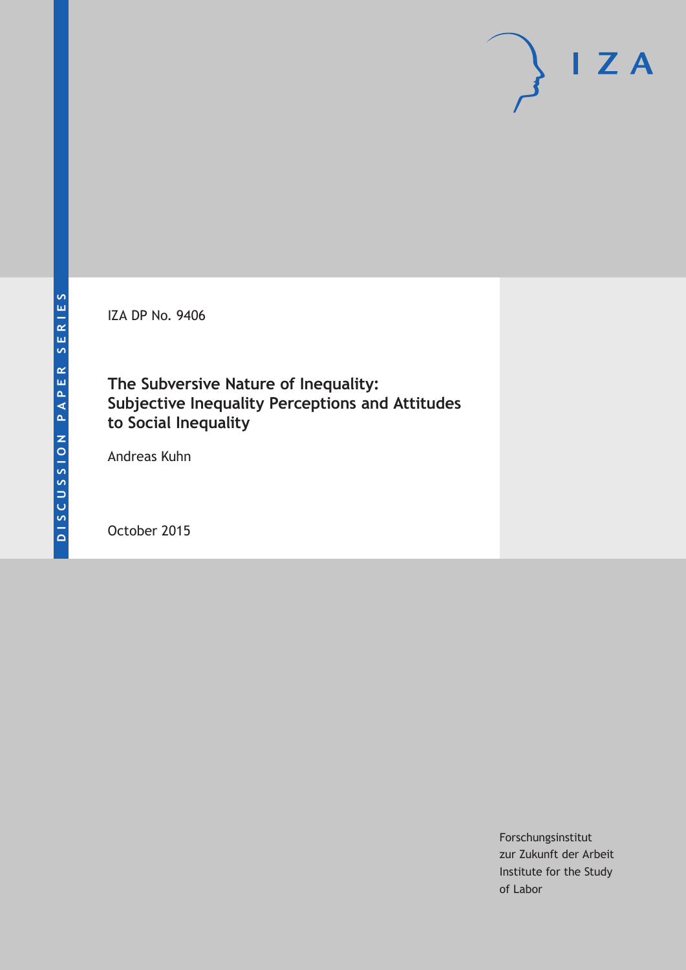IZA DP No. 9406

**The Subversive Nature of Inequality: Subjective Inequality Perceptions and Attitudes to Social Inequality**

Andreas Kuhn

October 2015

Forschungsinstitut zur Zukunft der Arbeit Institute for the Study of Labor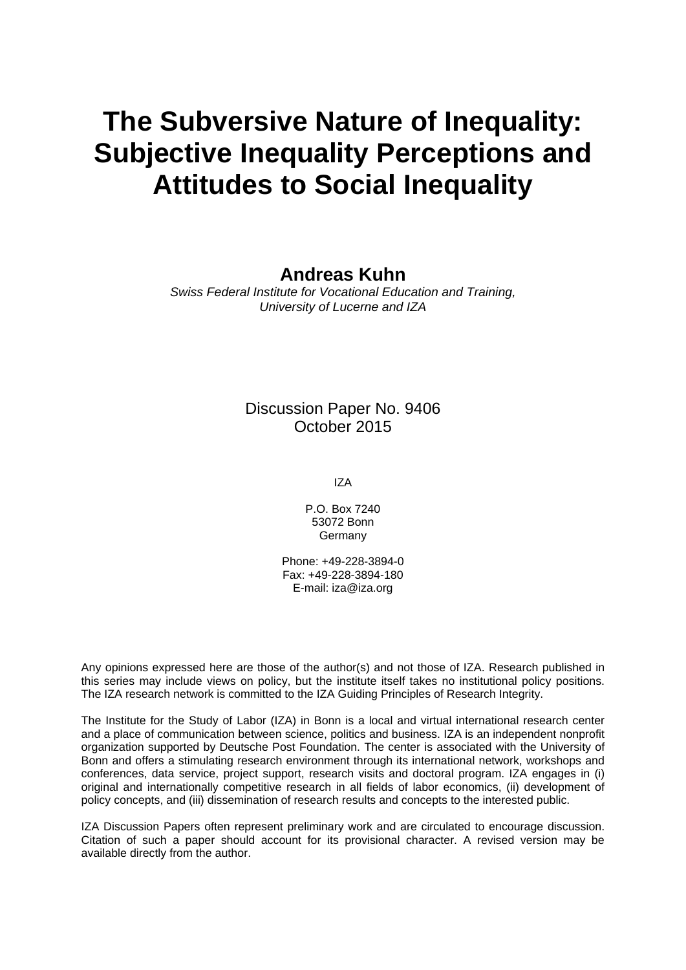# **The Subversive Nature of Inequality: Subjective Inequality Perceptions and Attitudes to Social Inequality**

### **Andreas Kuhn**

*Swiss Federal Institute for Vocational Education and Training, University of Lucerne and IZA* 

### Discussion Paper No. 9406 October 2015

IZA

P.O. Box 7240 53072 Bonn Germany

Phone: +49-228-3894-0 Fax: +49-228-3894-180 E-mail: iza@iza.org

Any opinions expressed here are those of the author(s) and not those of IZA. Research published in this series may include views on policy, but the institute itself takes no institutional policy positions. The IZA research network is committed to the IZA Guiding Principles of Research Integrity.

The Institute for the Study of Labor (IZA) in Bonn is a local and virtual international research center and a place of communication between science, politics and business. IZA is an independent nonprofit organization supported by Deutsche Post Foundation. The center is associated with the University of Bonn and offers a stimulating research environment through its international network, workshops and conferences, data service, project support, research visits and doctoral program. IZA engages in (i) original and internationally competitive research in all fields of labor economics, (ii) development of policy concepts, and (iii) dissemination of research results and concepts to the interested public.

IZA Discussion Papers often represent preliminary work and are circulated to encourage discussion. Citation of such a paper should account for its provisional character. A revised version may be available directly from the author.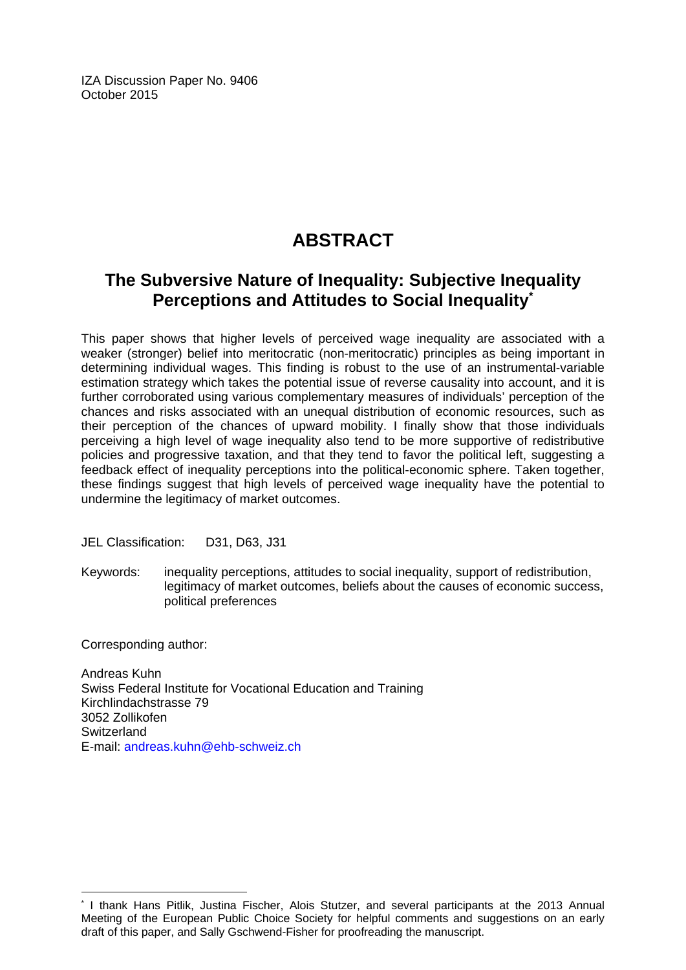IZA Discussion Paper No. 9406 October 2015

## **ABSTRACT**

### **The Subversive Nature of Inequality: Subjective Inequality Perceptions and Attitudes to Social Inequality\***

This paper shows that higher levels of perceived wage inequality are associated with a weaker (stronger) belief into meritocratic (non-meritocratic) principles as being important in determining individual wages. This finding is robust to the use of an instrumental-variable estimation strategy which takes the potential issue of reverse causality into account, and it is further corroborated using various complementary measures of individuals' perception of the chances and risks associated with an unequal distribution of economic resources, such as their perception of the chances of upward mobility. I finally show that those individuals perceiving a high level of wage inequality also tend to be more supportive of redistributive policies and progressive taxation, and that they tend to favor the political left, suggesting a feedback effect of inequality perceptions into the political-economic sphere. Taken together, these findings suggest that high levels of perceived wage inequality have the potential to undermine the legitimacy of market outcomes.

JEL Classification: D31, D63, J31

Keywords: inequality perceptions, attitudes to social inequality, support of redistribution, legitimacy of market outcomes, beliefs about the causes of economic success, political preferences

Corresponding author:

 $\overline{a}$ 

Andreas Kuhn Swiss Federal Institute for Vocational Education and Training Kirchlindachstrasse 79 3052 Zollikofen **Switzerland** E-mail: andreas.kuhn@ehb-schweiz.ch

<sup>\*</sup> I thank Hans Pitlik, Justina Fischer, Alois Stutzer, and several participants at the 2013 Annual Meeting of the European Public Choice Society for helpful comments and suggestions on an early draft of this paper, and Sally Gschwend-Fisher for proofreading the manuscript.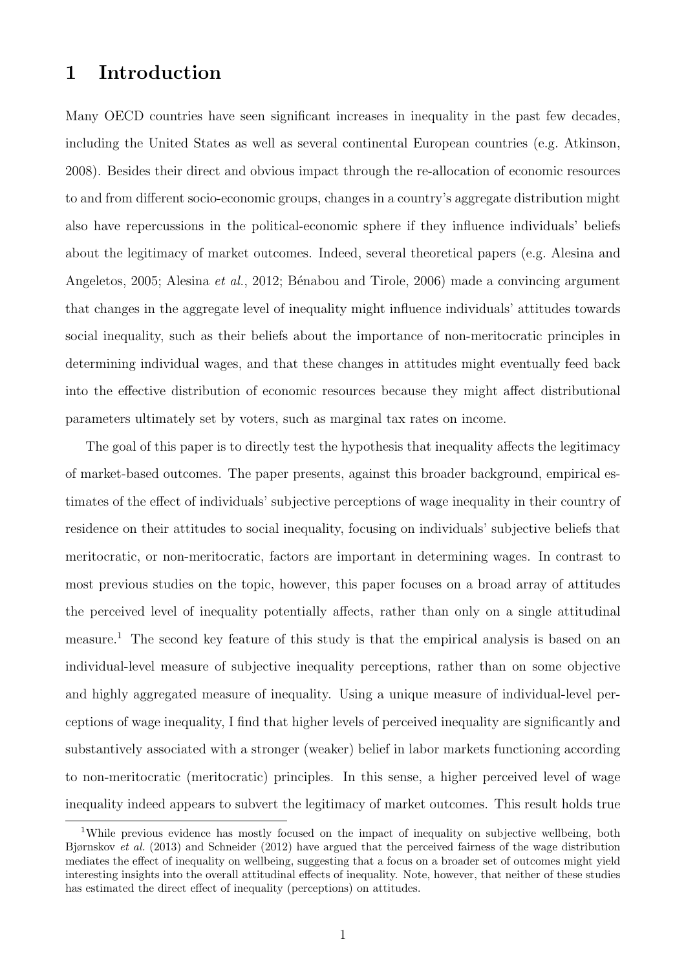### 1 Introduction

Many OECD countries have seen significant increases in inequality in the past few decades, including the United States as well as several continental European countries (e.g. Atkinson, 2008). Besides their direct and obvious impact through the re-allocation of economic resources to and from different socio-economic groups, changes in a country's aggregate distribution might also have repercussions in the political-economic sphere if they influence individuals' beliefs about the legitimacy of market outcomes. Indeed, several theoretical papers (e.g. Alesina and Angeletos, 2005; Alesina *et al.*, 2012; Bénabou and Tirole, 2006) made a convincing argument that changes in the aggregate level of inequality might influence individuals' attitudes towards social inequality, such as their beliefs about the importance of non-meritocratic principles in determining individual wages, and that these changes in attitudes might eventually feed back into the effective distribution of economic resources because they might affect distributional parameters ultimately set by voters, such as marginal tax rates on income.

The goal of this paper is to directly test the hypothesis that inequality affects the legitimacy of market-based outcomes. The paper presents, against this broader background, empirical estimates of the effect of individuals' subjective perceptions of wage inequality in their country of residence on their attitudes to social inequality, focusing on individuals' subjective beliefs that meritocratic, or non-meritocratic, factors are important in determining wages. In contrast to most previous studies on the topic, however, this paper focuses on a broad array of attitudes the perceived level of inequality potentially affects, rather than only on a single attitudinal measure.<sup>1</sup> The second key feature of this study is that the empirical analysis is based on an individual-level measure of subjective inequality perceptions, rather than on some objective and highly aggregated measure of inequality. Using a unique measure of individual-level perceptions of wage inequality, I find that higher levels of perceived inequality are significantly and substantively associated with a stronger (weaker) belief in labor markets functioning according to non-meritocratic (meritocratic) principles. In this sense, a higher perceived level of wage inequality indeed appears to subvert the legitimacy of market outcomes. This result holds true

<sup>&</sup>lt;sup>1</sup>While previous evidence has mostly focused on the impact of inequality on subjective wellbeing, both Bjørnskov et al. (2013) and Schneider (2012) have argued that the perceived fairness of the wage distribution mediates the effect of inequality on wellbeing, suggesting that a focus on a broader set of outcomes might yield interesting insights into the overall attitudinal effects of inequality. Note, however, that neither of these studies has estimated the direct effect of inequality (perceptions) on attitudes.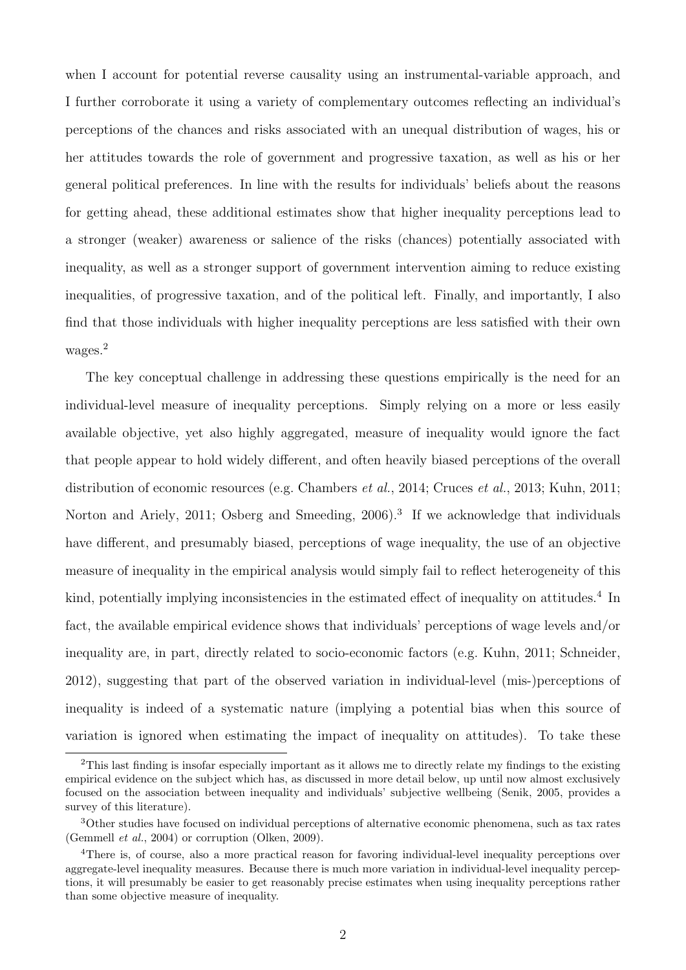when I account for potential reverse causality using an instrumental-variable approach, and I further corroborate it using a variety of complementary outcomes reflecting an individual's perceptions of the chances and risks associated with an unequal distribution of wages, his or her attitudes towards the role of government and progressive taxation, as well as his or her general political preferences. In line with the results for individuals' beliefs about the reasons for getting ahead, these additional estimates show that higher inequality perceptions lead to a stronger (weaker) awareness or salience of the risks (chances) potentially associated with inequality, as well as a stronger support of government intervention aiming to reduce existing inequalities, of progressive taxation, and of the political left. Finally, and importantly, I also find that those individuals with higher inequality perceptions are less satisfied with their own wages.<sup>2</sup>

The key conceptual challenge in addressing these questions empirically is the need for an individual-level measure of inequality perceptions. Simply relying on a more or less easily available objective, yet also highly aggregated, measure of inequality would ignore the fact that people appear to hold widely different, and often heavily biased perceptions of the overall distribution of economic resources (e.g. Chambers *et al.*, 2014; Cruces *et al.*, 2013; Kuhn, 2011; Norton and Ariely, 2011; Osberg and Smeeding, 2006).<sup>3</sup> If we acknowledge that individuals have different, and presumably biased, perceptions of wage inequality, the use of an objective measure of inequality in the empirical analysis would simply fail to reflect heterogeneity of this kind, potentially implying inconsistencies in the estimated effect of inequality on attitudes.<sup>4</sup> In fact, the available empirical evidence shows that individuals' perceptions of wage levels and/or inequality are, in part, directly related to socio-economic factors (e.g. Kuhn, 2011; Schneider, 2012), suggesting that part of the observed variation in individual-level (mis-)perceptions of inequality is indeed of a systematic nature (implying a potential bias when this source of variation is ignored when estimating the impact of inequality on attitudes). To take these

<sup>2</sup>This last finding is insofar especially important as it allows me to directly relate my findings to the existing empirical evidence on the subject which has, as discussed in more detail below, up until now almost exclusively focused on the association between inequality and individuals' subjective wellbeing (Senik, 2005, provides a survey of this literature).

<sup>3</sup>Other studies have focused on individual perceptions of alternative economic phenomena, such as tax rates (Gemmell et al., 2004) or corruption (Olken, 2009).

<sup>4</sup>There is, of course, also a more practical reason for favoring individual-level inequality perceptions over aggregate-level inequality measures. Because there is much more variation in individual-level inequality perceptions, it will presumably be easier to get reasonably precise estimates when using inequality perceptions rather than some objective measure of inequality.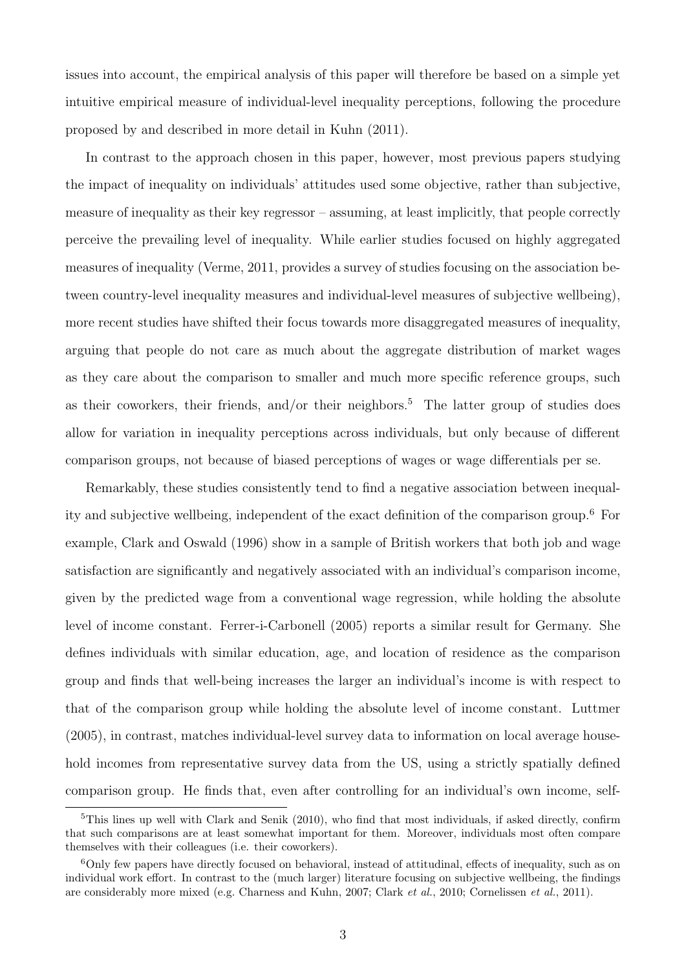issues into account, the empirical analysis of this paper will therefore be based on a simple yet intuitive empirical measure of individual-level inequality perceptions, following the procedure proposed by and described in more detail in Kuhn (2011).

In contrast to the approach chosen in this paper, however, most previous papers studying the impact of inequality on individuals' attitudes used some objective, rather than subjective, measure of inequality as their key regressor – assuming, at least implicitly, that people correctly perceive the prevailing level of inequality. While earlier studies focused on highly aggregated measures of inequality (Verme, 2011, provides a survey of studies focusing on the association between country-level inequality measures and individual-level measures of subjective wellbeing), more recent studies have shifted their focus towards more disaggregated measures of inequality, arguing that people do not care as much about the aggregate distribution of market wages as they care about the comparison to smaller and much more specific reference groups, such as their coworkers, their friends, and/or their neighbors.<sup>5</sup> The latter group of studies does allow for variation in inequality perceptions across individuals, but only because of different comparison groups, not because of biased perceptions of wages or wage differentials per se.

Remarkably, these studies consistently tend to find a negative association between inequality and subjective wellbeing, independent of the exact definition of the comparison group.<sup>6</sup> For example, Clark and Oswald (1996) show in a sample of British workers that both job and wage satisfaction are significantly and negatively associated with an individual's comparison income, given by the predicted wage from a conventional wage regression, while holding the absolute level of income constant. Ferrer-i-Carbonell (2005) reports a similar result for Germany. She defines individuals with similar education, age, and location of residence as the comparison group and finds that well-being increases the larger an individual's income is with respect to that of the comparison group while holding the absolute level of income constant. Luttmer (2005), in contrast, matches individual-level survey data to information on local average household incomes from representative survey data from the US, using a strictly spatially defined comparison group. He finds that, even after controlling for an individual's own income, self-

 $5$ This lines up well with Clark and Senik (2010), who find that most individuals, if asked directly, confirm that such comparisons are at least somewhat important for them. Moreover, individuals most often compare themselves with their colleagues (i.e. their coworkers).

<sup>6</sup>Only few papers have directly focused on behavioral, instead of attitudinal, effects of inequality, such as on individual work effort. In contrast to the (much larger) literature focusing on subjective wellbeing, the findings are considerably more mixed (e.g. Charness and Kuhn, 2007; Clark et al., 2010; Cornelissen et al., 2011).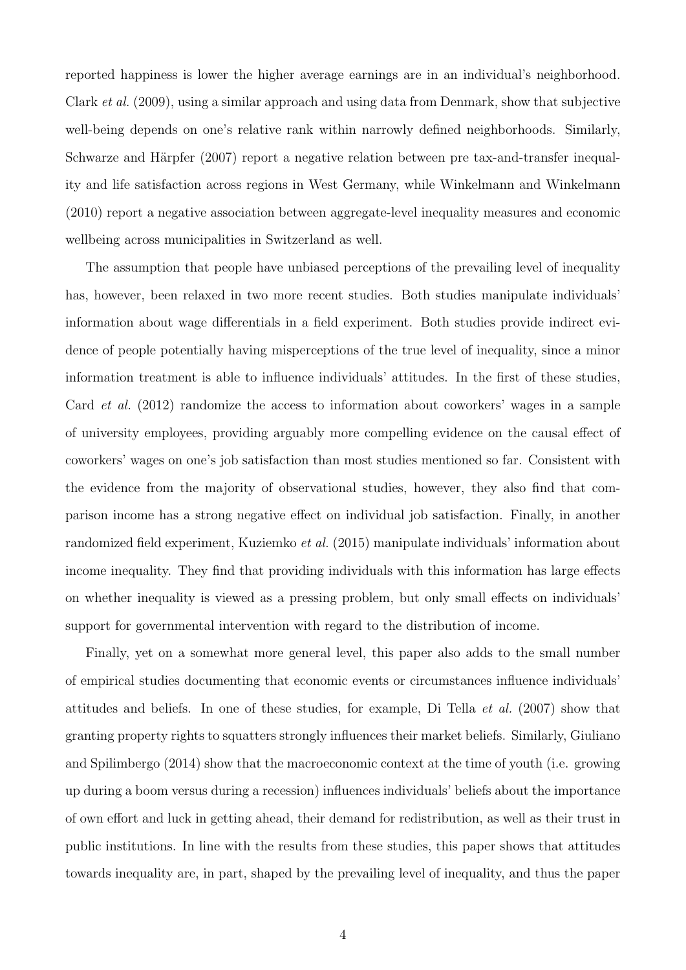reported happiness is lower the higher average earnings are in an individual's neighborhood. Clark et al. (2009), using a similar approach and using data from Denmark, show that subjective well-being depends on one's relative rank within narrowly defined neighborhoods. Similarly, Schwarze and Härpfer (2007) report a negative relation between pre tax-and-transfer inequality and life satisfaction across regions in West Germany, while Winkelmann and Winkelmann (2010) report a negative association between aggregate-level inequality measures and economic wellbeing across municipalities in Switzerland as well.

The assumption that people have unbiased perceptions of the prevailing level of inequality has, however, been relaxed in two more recent studies. Both studies manipulate individuals' information about wage differentials in a field experiment. Both studies provide indirect evidence of people potentially having misperceptions of the true level of inequality, since a minor information treatment is able to influence individuals' attitudes. In the first of these studies, Card et al. (2012) randomize the access to information about coworkers' wages in a sample of university employees, providing arguably more compelling evidence on the causal effect of coworkers' wages on one's job satisfaction than most studies mentioned so far. Consistent with the evidence from the majority of observational studies, however, they also find that comparison income has a strong negative effect on individual job satisfaction. Finally, in another randomized field experiment, Kuziemko et al. (2015) manipulate individuals' information about income inequality. They find that providing individuals with this information has large effects on whether inequality is viewed as a pressing problem, but only small effects on individuals' support for governmental intervention with regard to the distribution of income.

Finally, yet on a somewhat more general level, this paper also adds to the small number of empirical studies documenting that economic events or circumstances influence individuals' attitudes and beliefs. In one of these studies, for example, Di Tella et al. (2007) show that granting property rights to squatters strongly influences their market beliefs. Similarly, Giuliano and Spilimbergo (2014) show that the macroeconomic context at the time of youth (i.e. growing up during a boom versus during a recession) influences individuals' beliefs about the importance of own effort and luck in getting ahead, their demand for redistribution, as well as their trust in public institutions. In line with the results from these studies, this paper shows that attitudes towards inequality are, in part, shaped by the prevailing level of inequality, and thus the paper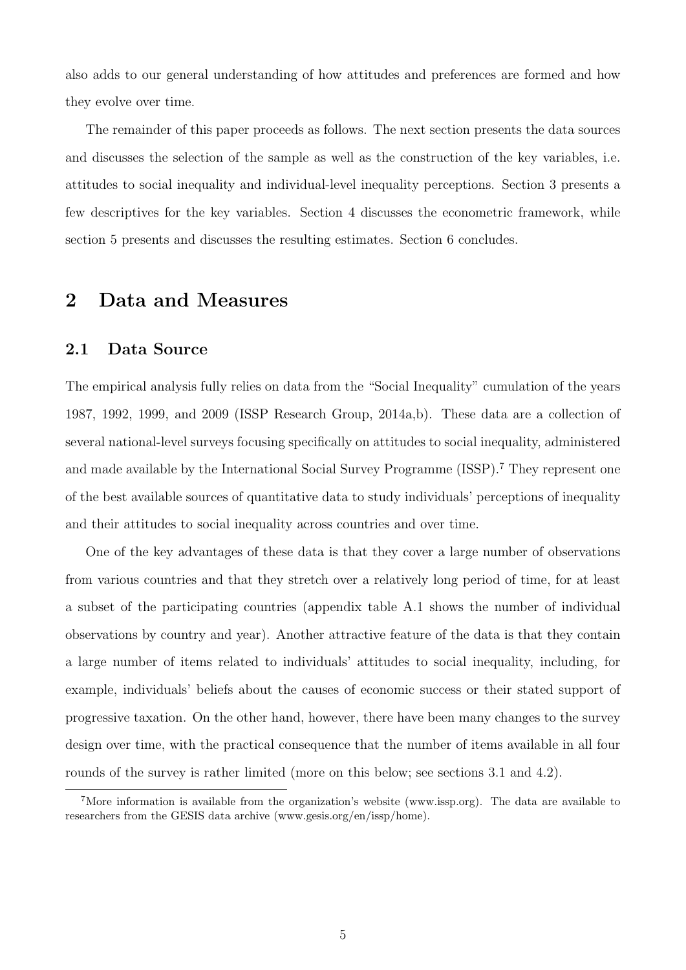also adds to our general understanding of how attitudes and preferences are formed and how they evolve over time.

The remainder of this paper proceeds as follows. The next section presents the data sources and discusses the selection of the sample as well as the construction of the key variables, i.e. attitudes to social inequality and individual-level inequality perceptions. Section 3 presents a few descriptives for the key variables. Section 4 discusses the econometric framework, while section 5 presents and discusses the resulting estimates. Section 6 concludes.

### 2 Data and Measures

### 2.1 Data Source

The empirical analysis fully relies on data from the "Social Inequality" cumulation of the years 1987, 1992, 1999, and 2009 (ISSP Research Group, 2014a,b). These data are a collection of several national-level surveys focusing specifically on attitudes to social inequality, administered and made available by the International Social Survey Programme (ISSP).<sup>7</sup> They represent one of the best available sources of quantitative data to study individuals' perceptions of inequality and their attitudes to social inequality across countries and over time.

One of the key advantages of these data is that they cover a large number of observations from various countries and that they stretch over a relatively long period of time, for at least a subset of the participating countries (appendix table A.1 shows the number of individual observations by country and year). Another attractive feature of the data is that they contain a large number of items related to individuals' attitudes to social inequality, including, for example, individuals' beliefs about the causes of economic success or their stated support of progressive taxation. On the other hand, however, there have been many changes to the survey design over time, with the practical consequence that the number of items available in all four rounds of the survey is rather limited (more on this below; see sections 3.1 and 4.2).

<sup>7</sup>More information is available from the organization's website (www.issp.org). The data are available to researchers from the GESIS data archive (www.gesis.org/en/issp/home).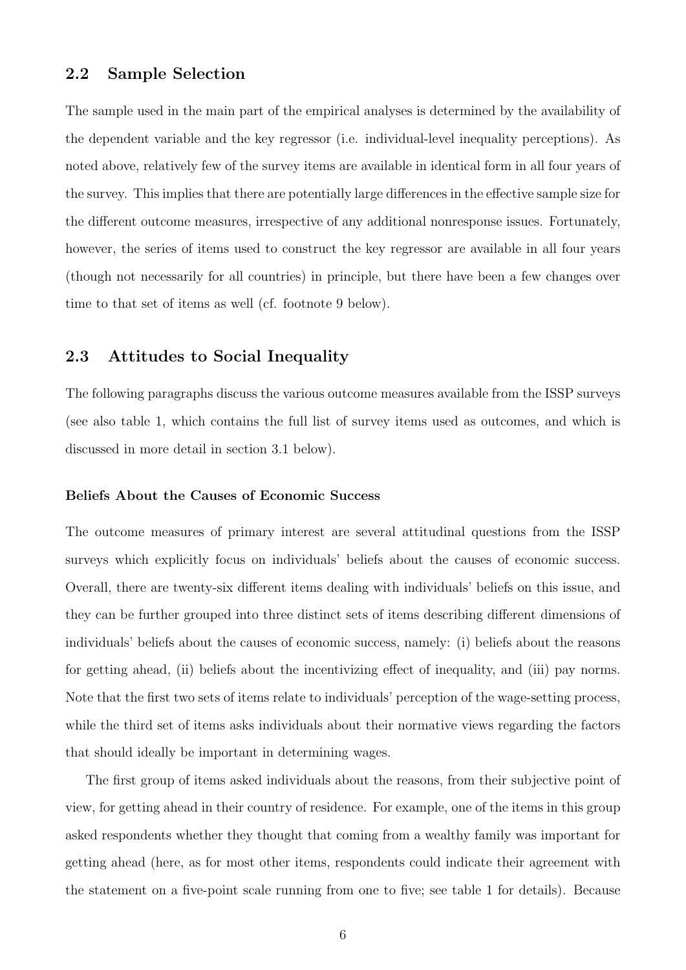### 2.2 Sample Selection

The sample used in the main part of the empirical analyses is determined by the availability of the dependent variable and the key regressor (i.e. individual-level inequality perceptions). As noted above, relatively few of the survey items are available in identical form in all four years of the survey. This implies that there are potentially large differences in the effective sample size for the different outcome measures, irrespective of any additional nonresponse issues. Fortunately, however, the series of items used to construct the key regressor are available in all four years (though not necessarily for all countries) in principle, but there have been a few changes over time to that set of items as well (cf. footnote 9 below).

### 2.3 Attitudes to Social Inequality

The following paragraphs discuss the various outcome measures available from the ISSP surveys (see also table 1, which contains the full list of survey items used as outcomes, and which is discussed in more detail in section 3.1 below).

#### Beliefs About the Causes of Economic Success

The outcome measures of primary interest are several attitudinal questions from the ISSP surveys which explicitly focus on individuals' beliefs about the causes of economic success. Overall, there are twenty-six different items dealing with individuals' beliefs on this issue, and they can be further grouped into three distinct sets of items describing different dimensions of individuals' beliefs about the causes of economic success, namely: (i) beliefs about the reasons for getting ahead, (ii) beliefs about the incentivizing effect of inequality, and (iii) pay norms. Note that the first two sets of items relate to individuals' perception of the wage-setting process, while the third set of items asks individuals about their normative views regarding the factors that should ideally be important in determining wages.

The first group of items asked individuals about the reasons, from their subjective point of view, for getting ahead in their country of residence. For example, one of the items in this group asked respondents whether they thought that coming from a wealthy family was important for getting ahead (here, as for most other items, respondents could indicate their agreement with the statement on a five-point scale running from one to five; see table 1 for details). Because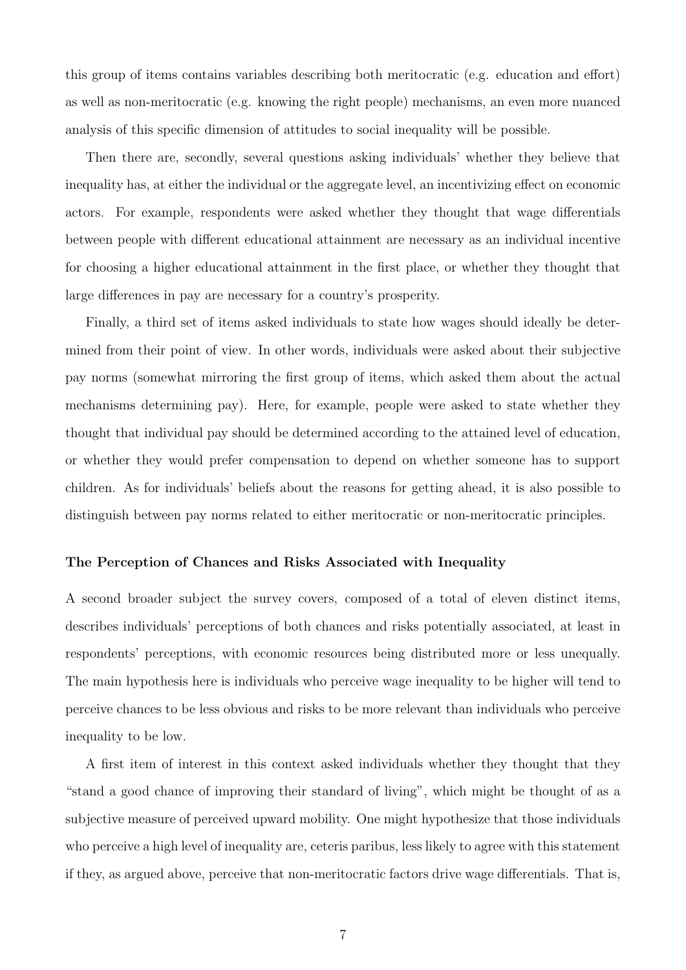this group of items contains variables describing both meritocratic (e.g. education and effort) as well as non-meritocratic (e.g. knowing the right people) mechanisms, an even more nuanced analysis of this specific dimension of attitudes to social inequality will be possible.

Then there are, secondly, several questions asking individuals' whether they believe that inequality has, at either the individual or the aggregate level, an incentivizing effect on economic actors. For example, respondents were asked whether they thought that wage differentials between people with different educational attainment are necessary as an individual incentive for choosing a higher educational attainment in the first place, or whether they thought that large differences in pay are necessary for a country's prosperity.

Finally, a third set of items asked individuals to state how wages should ideally be determined from their point of view. In other words, individuals were asked about their subjective pay norms (somewhat mirroring the first group of items, which asked them about the actual mechanisms determining pay). Here, for example, people were asked to state whether they thought that individual pay should be determined according to the attained level of education, or whether they would prefer compensation to depend on whether someone has to support children. As for individuals' beliefs about the reasons for getting ahead, it is also possible to distinguish between pay norms related to either meritocratic or non-meritocratic principles.

#### The Perception of Chances and Risks Associated with Inequality

A second broader subject the survey covers, composed of a total of eleven distinct items, describes individuals' perceptions of both chances and risks potentially associated, at least in respondents' perceptions, with economic resources being distributed more or less unequally. The main hypothesis here is individuals who perceive wage inequality to be higher will tend to perceive chances to be less obvious and risks to be more relevant than individuals who perceive inequality to be low.

A first item of interest in this context asked individuals whether they thought that they "stand a good chance of improving their standard of living", which might be thought of as a subjective measure of perceived upward mobility. One might hypothesize that those individuals who perceive a high level of inequality are, ceteris paribus, less likely to agree with this statement if they, as argued above, perceive that non-meritocratic factors drive wage differentials. That is,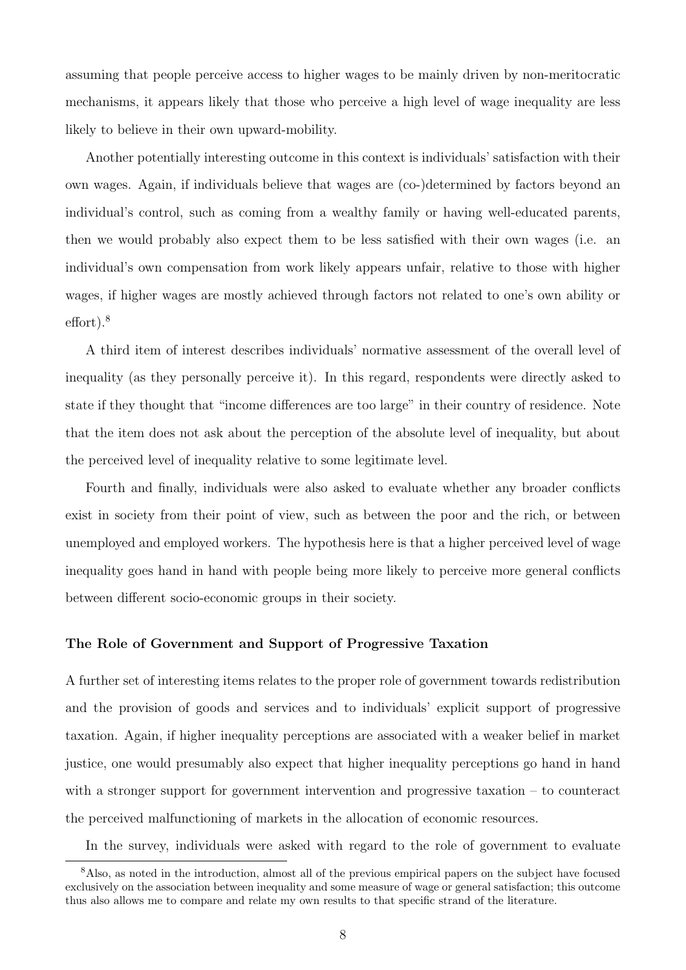assuming that people perceive access to higher wages to be mainly driven by non-meritocratic mechanisms, it appears likely that those who perceive a high level of wage inequality are less likely to believe in their own upward-mobility.

Another potentially interesting outcome in this context is individuals' satisfaction with their own wages. Again, if individuals believe that wages are (co-)determined by factors beyond an individual's control, such as coming from a wealthy family or having well-educated parents, then we would probably also expect them to be less satisfied with their own wages (i.e. an individual's own compensation from work likely appears unfair, relative to those with higher wages, if higher wages are mostly achieved through factors not related to one's own ability or effort).<sup>8</sup>

A third item of interest describes individuals' normative assessment of the overall level of inequality (as they personally perceive it). In this regard, respondents were directly asked to state if they thought that "income differences are too large" in their country of residence. Note that the item does not ask about the perception of the absolute level of inequality, but about the perceived level of inequality relative to some legitimate level.

Fourth and finally, individuals were also asked to evaluate whether any broader conflicts exist in society from their point of view, such as between the poor and the rich, or between unemployed and employed workers. The hypothesis here is that a higher perceived level of wage inequality goes hand in hand with people being more likely to perceive more general conflicts between different socio-economic groups in their society.

#### The Role of Government and Support of Progressive Taxation

A further set of interesting items relates to the proper role of government towards redistribution and the provision of goods and services and to individuals' explicit support of progressive taxation. Again, if higher inequality perceptions are associated with a weaker belief in market justice, one would presumably also expect that higher inequality perceptions go hand in hand with a stronger support for government intervention and progressive taxation – to counteract the perceived malfunctioning of markets in the allocation of economic resources.

In the survey, individuals were asked with regard to the role of government to evaluate

<sup>8</sup>Also, as noted in the introduction, almost all of the previous empirical papers on the subject have focused exclusively on the association between inequality and some measure of wage or general satisfaction; this outcome thus also allows me to compare and relate my own results to that specific strand of the literature.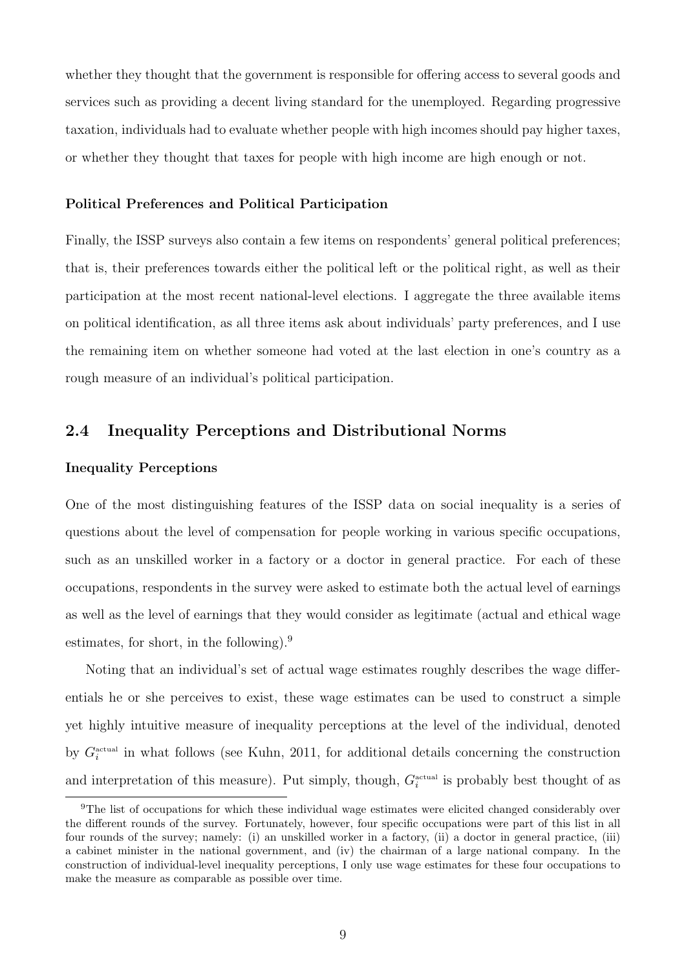whether they thought that the government is responsible for offering access to several goods and services such as providing a decent living standard for the unemployed. Regarding progressive taxation, individuals had to evaluate whether people with high incomes should pay higher taxes, or whether they thought that taxes for people with high income are high enough or not.

#### Political Preferences and Political Participation

Finally, the ISSP surveys also contain a few items on respondents' general political preferences; that is, their preferences towards either the political left or the political right, as well as their participation at the most recent national-level elections. I aggregate the three available items on political identification, as all three items ask about individuals' party preferences, and I use the remaining item on whether someone had voted at the last election in one's country as a rough measure of an individual's political participation.

### 2.4 Inequality Perceptions and Distributional Norms

#### Inequality Perceptions

One of the most distinguishing features of the ISSP data on social inequality is a series of questions about the level of compensation for people working in various specific occupations, such as an unskilled worker in a factory or a doctor in general practice. For each of these occupations, respondents in the survey were asked to estimate both the actual level of earnings as well as the level of earnings that they would consider as legitimate (actual and ethical wage estimates, for short, in the following).<sup>9</sup>

Noting that an individual's set of actual wage estimates roughly describes the wage differentials he or she perceives to exist, these wage estimates can be used to construct a simple yet highly intuitive measure of inequality perceptions at the level of the individual, denoted by  $G_i^{\text{actual}}$  in what follows (see Kuhn, 2011, for additional details concerning the construction and interpretation of this measure). Put simply, though,  $G_i^{\text{actual}}$  is probably best thought of as

<sup>&</sup>lt;sup>9</sup>The list of occupations for which these individual wage estimates were elicited changed considerably over the different rounds of the survey. Fortunately, however, four specific occupations were part of this list in all four rounds of the survey; namely: (i) an unskilled worker in a factory, (ii) a doctor in general practice, (iii) a cabinet minister in the national government, and (iv) the chairman of a large national company. In the construction of individual-level inequality perceptions, I only use wage estimates for these four occupations to make the measure as comparable as possible over time.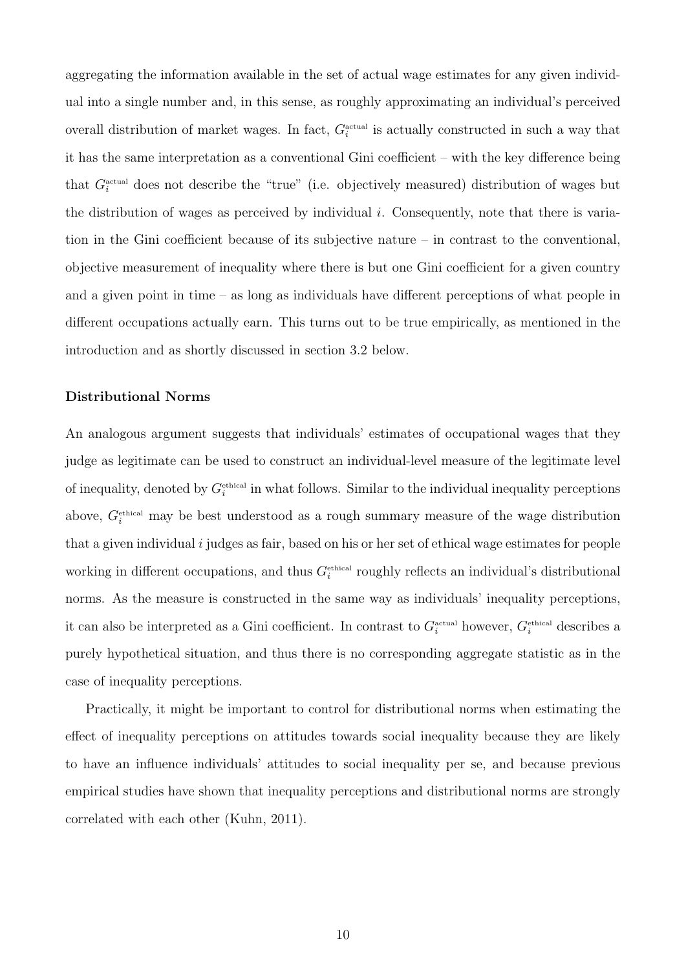aggregating the information available in the set of actual wage estimates for any given individual into a single number and, in this sense, as roughly approximating an individual's perceived overall distribution of market wages. In fact,  $G_i^{\text{actual}}$  is actually constructed in such a way that it has the same interpretation as a conventional Gini coefficient – with the key difference being that  $G_i^{\text{actual}}$  does not describe the "true" (i.e. objectively measured) distribution of wages but the distribution of wages as perceived by individual i. Consequently, note that there is variation in the Gini coefficient because of its subjective nature – in contrast to the conventional, objective measurement of inequality where there is but one Gini coefficient for a given country and a given point in time – as long as individuals have different perceptions of what people in different occupations actually earn. This turns out to be true empirically, as mentioned in the introduction and as shortly discussed in section 3.2 below.

### Distributional Norms

An analogous argument suggests that individuals' estimates of occupational wages that they judge as legitimate can be used to construct an individual-level measure of the legitimate level of inequality, denoted by  $G_i^{\text{ethical}}$  in what follows. Similar to the individual inequality perceptions above,  $G_i^{\text{ethical}}$  may be best understood as a rough summary measure of the wage distribution that a given individual i judges as fair, based on his or her set of ethical wage estimates for people working in different occupations, and thus  $G_i^{\text{ethical}}$  roughly reflects an individual's distributional norms. As the measure is constructed in the same way as individuals' inequality perceptions, it can also be interpreted as a Gini coefficient. In contrast to  $G_i^{\text{actual}}$  however,  $G_i^{\text{ethical}}$  describes a purely hypothetical situation, and thus there is no corresponding aggregate statistic as in the case of inequality perceptions.

Practically, it might be important to control for distributional norms when estimating the effect of inequality perceptions on attitudes towards social inequality because they are likely to have an influence individuals' attitudes to social inequality per se, and because previous empirical studies have shown that inequality perceptions and distributional norms are strongly correlated with each other (Kuhn, 2011).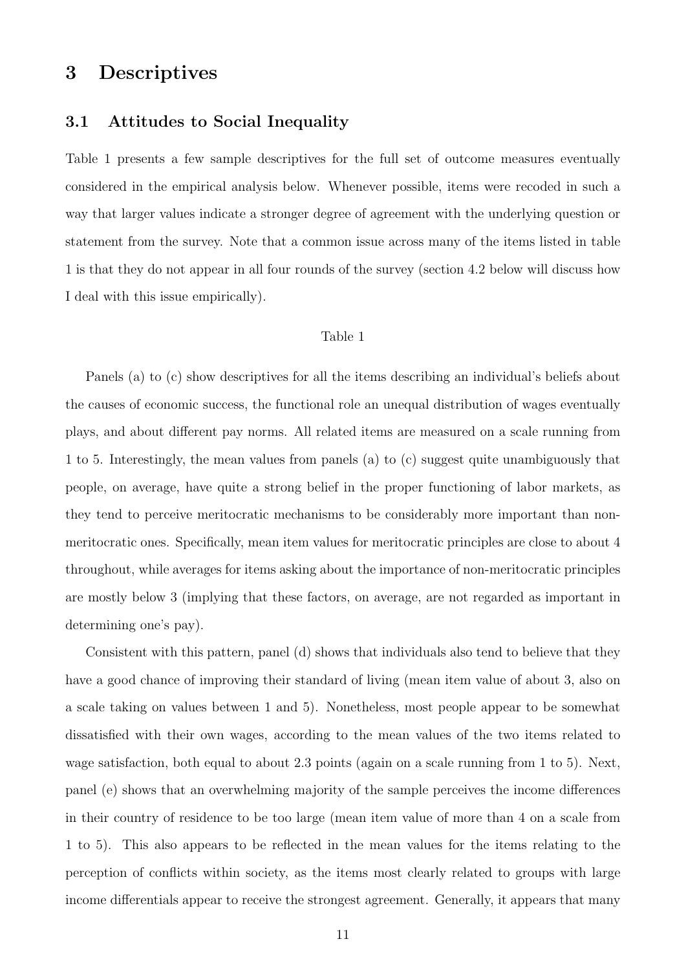### 3 Descriptives

### 3.1 Attitudes to Social Inequality

Table 1 presents a few sample descriptives for the full set of outcome measures eventually considered in the empirical analysis below. Whenever possible, items were recoded in such a way that larger values indicate a stronger degree of agreement with the underlying question or statement from the survey. Note that a common issue across many of the items listed in table 1 is that they do not appear in all four rounds of the survey (section 4.2 below will discuss how I deal with this issue empirically).

### Table 1

Panels (a) to (c) show descriptives for all the items describing an individual's beliefs about the causes of economic success, the functional role an unequal distribution of wages eventually plays, and about different pay norms. All related items are measured on a scale running from 1 to 5. Interestingly, the mean values from panels (a) to (c) suggest quite unambiguously that people, on average, have quite a strong belief in the proper functioning of labor markets, as they tend to perceive meritocratic mechanisms to be considerably more important than nonmeritocratic ones. Specifically, mean item values for meritocratic principles are close to about 4 throughout, while averages for items asking about the importance of non-meritocratic principles are mostly below 3 (implying that these factors, on average, are not regarded as important in determining one's pay).

Consistent with this pattern, panel (d) shows that individuals also tend to believe that they have a good chance of improving their standard of living (mean item value of about 3, also on a scale taking on values between 1 and 5). Nonetheless, most people appear to be somewhat dissatisfied with their own wages, according to the mean values of the two items related to wage satisfaction, both equal to about 2.3 points (again on a scale running from 1 to 5). Next, panel (e) shows that an overwhelming majority of the sample perceives the income differences in their country of residence to be too large (mean item value of more than 4 on a scale from 1 to 5). This also appears to be reflected in the mean values for the items relating to the perception of conflicts within society, as the items most clearly related to groups with large income differentials appear to receive the strongest agreement. Generally, it appears that many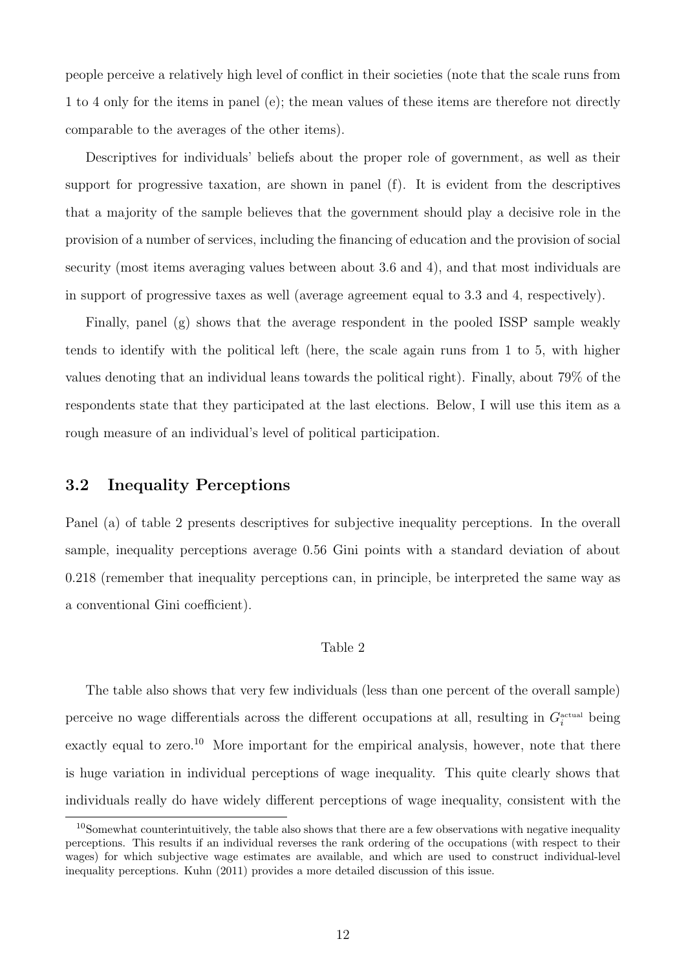people perceive a relatively high level of conflict in their societies (note that the scale runs from 1 to 4 only for the items in panel (e); the mean values of these items are therefore not directly comparable to the averages of the other items).

Descriptives for individuals' beliefs about the proper role of government, as well as their support for progressive taxation, are shown in panel (f). It is evident from the descriptives that a majority of the sample believes that the government should play a decisive role in the provision of a number of services, including the financing of education and the provision of social security (most items averaging values between about 3.6 and 4), and that most individuals are in support of progressive taxes as well (average agreement equal to 3.3 and 4, respectively).

Finally, panel (g) shows that the average respondent in the pooled ISSP sample weakly tends to identify with the political left (here, the scale again runs from 1 to 5, with higher values denoting that an individual leans towards the political right). Finally, about 79% of the respondents state that they participated at the last elections. Below, I will use this item as a rough measure of an individual's level of political participation.

### 3.2 Inequality Perceptions

Panel (a) of table 2 presents descriptives for subjective inequality perceptions. In the overall sample, inequality perceptions average 0.56 Gini points with a standard deviation of about 0.218 (remember that inequality perceptions can, in principle, be interpreted the same way as a conventional Gini coefficient).

#### Table 2

The table also shows that very few individuals (less than one percent of the overall sample) perceive no wage differentials across the different occupations at all, resulting in  $G_i^{\text{actual}}$  being exactly equal to zero.<sup>10</sup> More important for the empirical analysis, however, note that there is huge variation in individual perceptions of wage inequality. This quite clearly shows that individuals really do have widely different perceptions of wage inequality, consistent with the

<sup>&</sup>lt;sup>10</sup>Somewhat counterintuitively, the table also shows that there are a few observations with negative inequality perceptions. This results if an individual reverses the rank ordering of the occupations (with respect to their wages) for which subjective wage estimates are available, and which are used to construct individual-level inequality perceptions. Kuhn (2011) provides a more detailed discussion of this issue.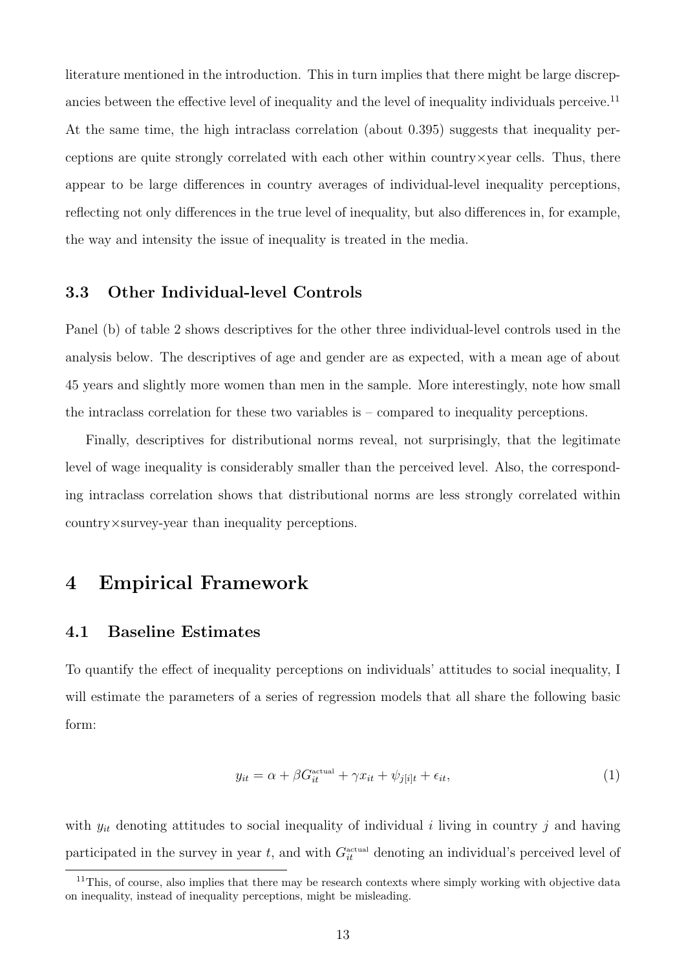literature mentioned in the introduction. This in turn implies that there might be large discrepancies between the effective level of inequality and the level of inequality individuals perceive.<sup>11</sup> At the same time, the high intraclass correlation (about 0.395) suggests that inequality perceptions are quite strongly correlated with each other within country $\times$ year cells. Thus, there appear to be large differences in country averages of individual-level inequality perceptions, reflecting not only differences in the true level of inequality, but also differences in, for example, the way and intensity the issue of inequality is treated in the media.

### 3.3 Other Individual-level Controls

Panel (b) of table 2 shows descriptives for the other three individual-level controls used in the analysis below. The descriptives of age and gender are as expected, with a mean age of about 45 years and slightly more women than men in the sample. More interestingly, note how small the intraclass correlation for these two variables is – compared to inequality perceptions.

Finally, descriptives for distributional norms reveal, not surprisingly, that the legitimate level of wage inequality is considerably smaller than the perceived level. Also, the corresponding intraclass correlation shows that distributional norms are less strongly correlated within country×survey-year than inequality perceptions.

### 4 Empirical Framework

### 4.1 Baseline Estimates

To quantify the effect of inequality perceptions on individuals' attitudes to social inequality, I will estimate the parameters of a series of regression models that all share the following basic form:

$$
y_{it} = \alpha + \beta G_{it}^{\text{actual}} + \gamma x_{it} + \psi_{j[i]t} + \epsilon_{it},\tag{1}
$$

with  $y_{it}$  denoting attitudes to social inequality of individual i living in country j and having participated in the survey in year t, and with  $G_{it}^{\text{actual}}$  denoting an individual's perceived level of

<sup>&</sup>lt;sup>11</sup>This, of course, also implies that there may be research contexts where simply working with objective data on inequality, instead of inequality perceptions, might be misleading.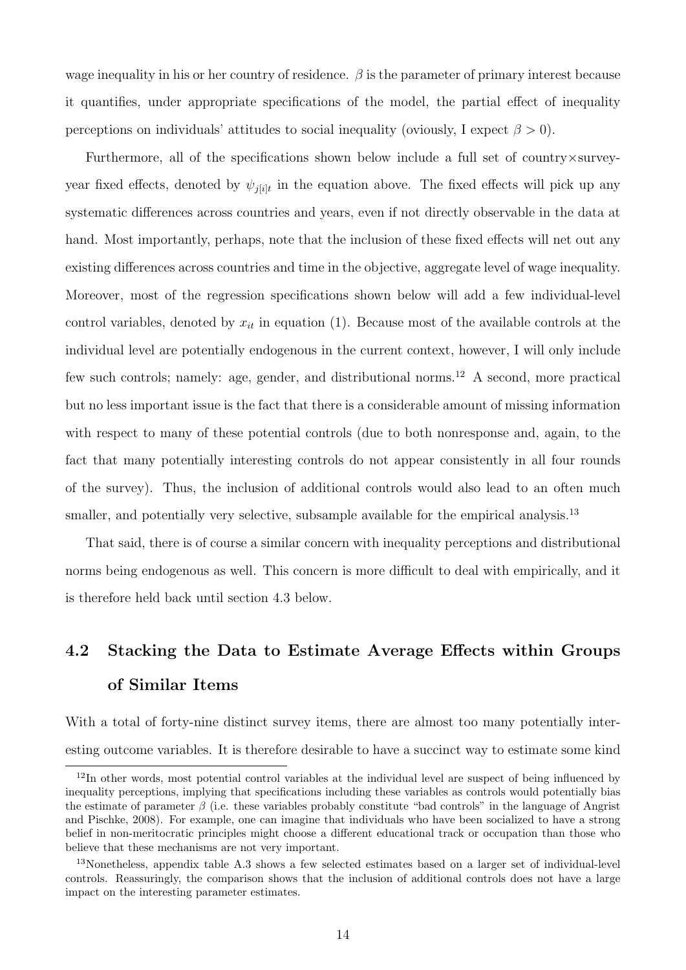wage inequality in his or her country of residence.  $\beta$  is the parameter of primary interest because it quantifies, under appropriate specifications of the model, the partial effect of inequality perceptions on individuals' attitudes to social inequality (oviously, I expect  $\beta > 0$ ).

Furthermore, all of the specifications shown below include a full set of country×surveyyear fixed effects, denoted by  $\psi_{j[i]t}$  in the equation above. The fixed effects will pick up any systematic differences across countries and years, even if not directly observable in the data at hand. Most importantly, perhaps, note that the inclusion of these fixed effects will net out any existing differences across countries and time in the objective, aggregate level of wage inequality. Moreover, most of the regression specifications shown below will add a few individual-level control variables, denoted by  $x_{it}$  in equation (1). Because most of the available controls at the individual level are potentially endogenous in the current context, however, I will only include few such controls; namely: age, gender, and distributional norms.<sup>12</sup> A second, more practical but no less important issue is the fact that there is a considerable amount of missing information with respect to many of these potential controls (due to both nonresponse and, again, to the fact that many potentially interesting controls do not appear consistently in all four rounds of the survey). Thus, the inclusion of additional controls would also lead to an often much smaller, and potentially very selective, subsample available for the empirical analysis.<sup>13</sup>

That said, there is of course a similar concern with inequality perceptions and distributional norms being endogenous as well. This concern is more difficult to deal with empirically, and it is therefore held back until section 4.3 below.

# 4.2 Stacking the Data to Estimate Average Effects within Groups of Similar Items

With a total of forty-nine distinct survey items, there are almost too many potentially interesting outcome variables. It is therefore desirable to have a succinct way to estimate some kind

<sup>&</sup>lt;sup>12</sup>In other words, most potential control variables at the individual level are suspect of being influenced by inequality perceptions, implying that specifications including these variables as controls would potentially bias the estimate of parameter  $\beta$  (i.e. these variables probably constitute "bad controls" in the language of Angrist and Pischke, 2008). For example, one can imagine that individuals who have been socialized to have a strong belief in non-meritocratic principles might choose a different educational track or occupation than those who believe that these mechanisms are not very important.

<sup>13</sup>Nonetheless, appendix table A.3 shows a few selected estimates based on a larger set of individual-level controls. Reassuringly, the comparison shows that the inclusion of additional controls does not have a large impact on the interesting parameter estimates.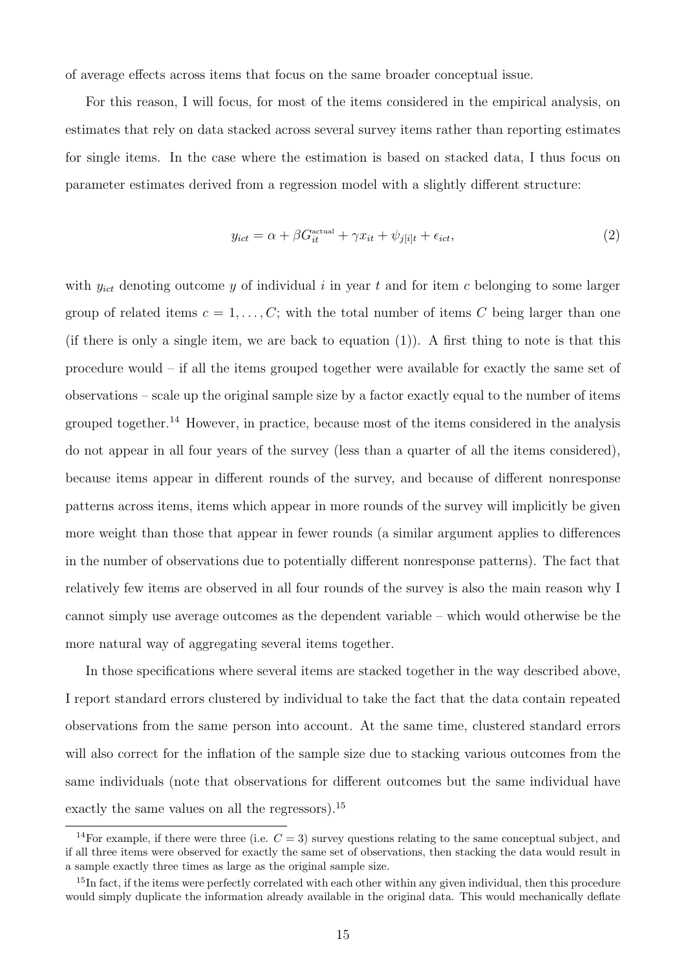of average effects across items that focus on the same broader conceptual issue.

For this reason, I will focus, for most of the items considered in the empirical analysis, on estimates that rely on data stacked across several survey items rather than reporting estimates for single items. In the case where the estimation is based on stacked data, I thus focus on parameter estimates derived from a regression model with a slightly different structure:

$$
y_{ict} = \alpha + \beta G_{it}^{\text{actual}} + \gamma x_{it} + \psi_{j[i]t} + \epsilon_{ict},\tag{2}
$$

with  $y_{ict}$  denoting outcome y of individual i in year t and for item c belonging to some larger group of related items  $c = 1, \ldots, C$ ; with the total number of items C being larger than one (if there is only a single item, we are back to equation  $(1)$ ). A first thing to note is that this procedure would – if all the items grouped together were available for exactly the same set of observations – scale up the original sample size by a factor exactly equal to the number of items grouped together.<sup>14</sup> However, in practice, because most of the items considered in the analysis do not appear in all four years of the survey (less than a quarter of all the items considered), because items appear in different rounds of the survey, and because of different nonresponse patterns across items, items which appear in more rounds of the survey will implicitly be given more weight than those that appear in fewer rounds (a similar argument applies to differences in the number of observations due to potentially different nonresponse patterns). The fact that relatively few items are observed in all four rounds of the survey is also the main reason why I cannot simply use average outcomes as the dependent variable – which would otherwise be the more natural way of aggregating several items together.

In those specifications where several items are stacked together in the way described above, I report standard errors clustered by individual to take the fact that the data contain repeated observations from the same person into account. At the same time, clustered standard errors will also correct for the inflation of the sample size due to stacking various outcomes from the same individuals (note that observations for different outcomes but the same individual have exactly the same values on all the regressors).<sup>15</sup>

<sup>&</sup>lt;sup>14</sup>For example, if there were three (i.e.  $C = 3$ ) survey questions relating to the same conceptual subject, and if all three items were observed for exactly the same set of observations, then stacking the data would result in a sample exactly three times as large as the original sample size.

 $15$ In fact, if the items were perfectly correlated with each other within any given individual, then this procedure would simply duplicate the information already available in the original data. This would mechanically deflate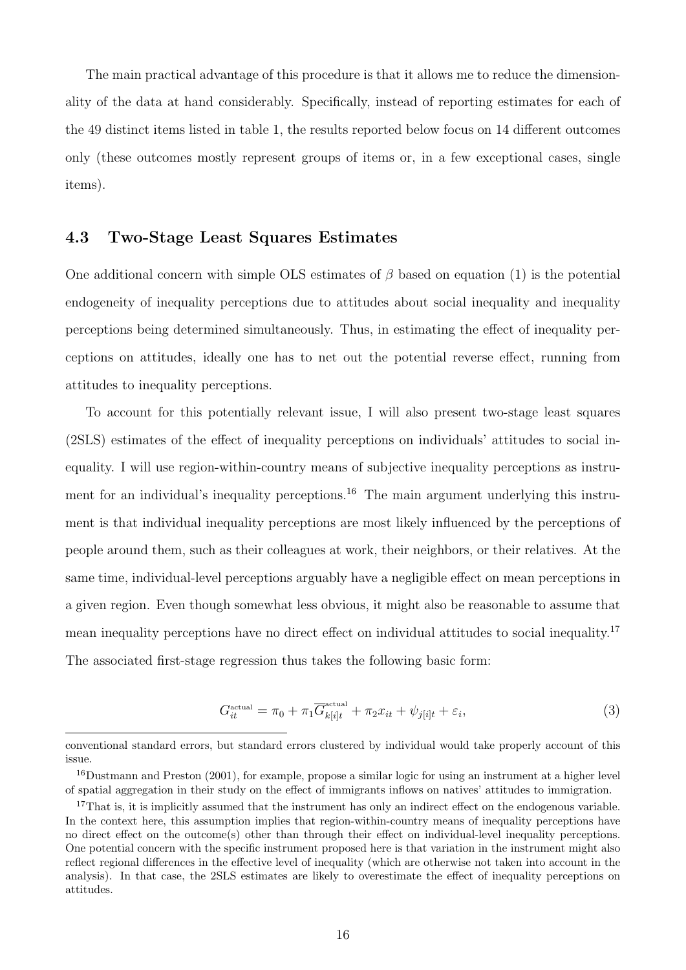The main practical advantage of this procedure is that it allows me to reduce the dimensionality of the data at hand considerably. Specifically, instead of reporting estimates for each of the 49 distinct items listed in table 1, the results reported below focus on 14 different outcomes only (these outcomes mostly represent groups of items or, in a few exceptional cases, single items).

### 4.3 Two-Stage Least Squares Estimates

One additional concern with simple OLS estimates of  $\beta$  based on equation (1) is the potential endogeneity of inequality perceptions due to attitudes about social inequality and inequality perceptions being determined simultaneously. Thus, in estimating the effect of inequality perceptions on attitudes, ideally one has to net out the potential reverse effect, running from attitudes to inequality perceptions.

To account for this potentially relevant issue, I will also present two-stage least squares (2SLS) estimates of the effect of inequality perceptions on individuals' attitudes to social inequality. I will use region-within-country means of subjective inequality perceptions as instrument for an individual's inequality perceptions.<sup>16</sup> The main argument underlying this instrument is that individual inequality perceptions are most likely influenced by the perceptions of people around them, such as their colleagues at work, their neighbors, or their relatives. At the same time, individual-level perceptions arguably have a negligible effect on mean perceptions in a given region. Even though somewhat less obvious, it might also be reasonable to assume that mean inequality perceptions have no direct effect on individual attitudes to social inequality.<sup>17</sup> The associated first-stage regression thus takes the following basic form:

$$
G_{it}^{\text{actual}} = \pi_0 + \pi_1 \overline{G}_{k[i]t}^{\text{actual}} + \pi_2 x_{it} + \psi_{j[i]t} + \varepsilon_i,
$$
\n(3)

conventional standard errors, but standard errors clustered by individual would take properly account of this issue.

<sup>16</sup>Dustmann and Preston (2001), for example, propose a similar logic for using an instrument at a higher level of spatial aggregation in their study on the effect of immigrants inflows on natives' attitudes to immigration.

<sup>&</sup>lt;sup>17</sup>That is, it is implicitly assumed that the instrument has only an indirect effect on the endogenous variable. In the context here, this assumption implies that region-within-country means of inequality perceptions have no direct effect on the outcome(s) other than through their effect on individual-level inequality perceptions. One potential concern with the specific instrument proposed here is that variation in the instrument might also reflect regional differences in the effective level of inequality (which are otherwise not taken into account in the analysis). In that case, the 2SLS estimates are likely to overestimate the effect of inequality perceptions on attitudes.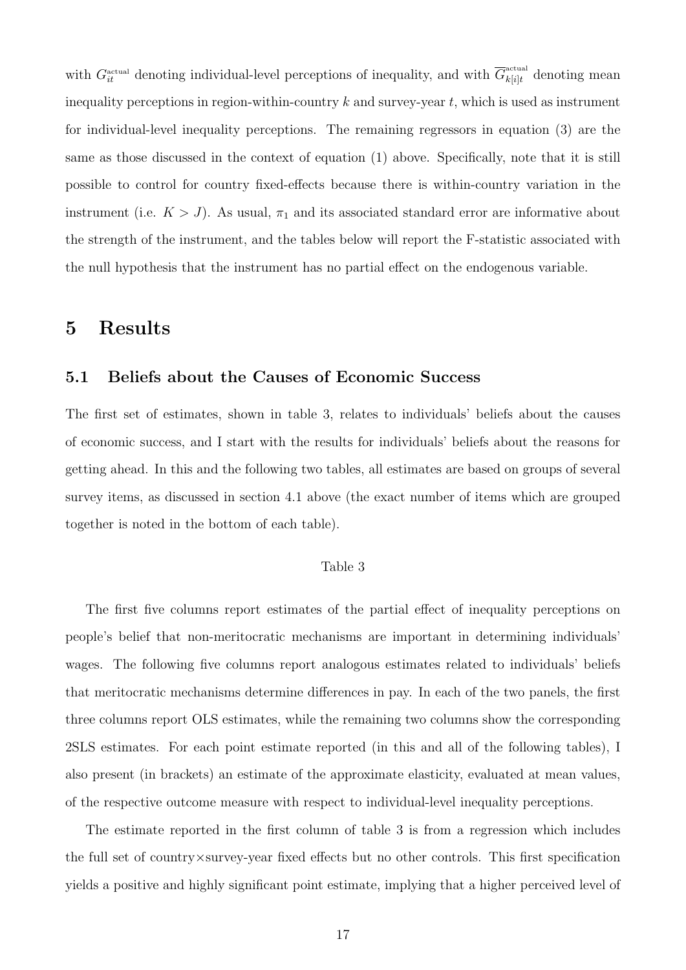with  $G_{it}^{\text{actual}}$  denoting individual-level perceptions of inequality, and with  $\overline{G}_{k[i]t}^{\text{actual}}$  denoting mean inequality perceptions in region-within-country  $k$  and survey-year  $t$ , which is used as instrument for individual-level inequality perceptions. The remaining regressors in equation (3) are the same as those discussed in the context of equation (1) above. Specifically, note that it is still possible to control for country fixed-effects because there is within-country variation in the instrument (i.e.  $K > J$ ). As usual,  $\pi_1$  and its associated standard error are informative about the strength of the instrument, and the tables below will report the F-statistic associated with the null hypothesis that the instrument has no partial effect on the endogenous variable.

### 5 Results

### 5.1 Beliefs about the Causes of Economic Success

The first set of estimates, shown in table 3, relates to individuals' beliefs about the causes of economic success, and I start with the results for individuals' beliefs about the reasons for getting ahead. In this and the following two tables, all estimates are based on groups of several survey items, as discussed in section 4.1 above (the exact number of items which are grouped together is noted in the bottom of each table).

### Table 3

The first five columns report estimates of the partial effect of inequality perceptions on people's belief that non-meritocratic mechanisms are important in determining individuals' wages. The following five columns report analogous estimates related to individuals' beliefs that meritocratic mechanisms determine differences in pay. In each of the two panels, the first three columns report OLS estimates, while the remaining two columns show the corresponding 2SLS estimates. For each point estimate reported (in this and all of the following tables), I also present (in brackets) an estimate of the approximate elasticity, evaluated at mean values, of the respective outcome measure with respect to individual-level inequality perceptions.

The estimate reported in the first column of table 3 is from a regression which includes the full set of country×survey-year fixed effects but no other controls. This first specification yields a positive and highly significant point estimate, implying that a higher perceived level of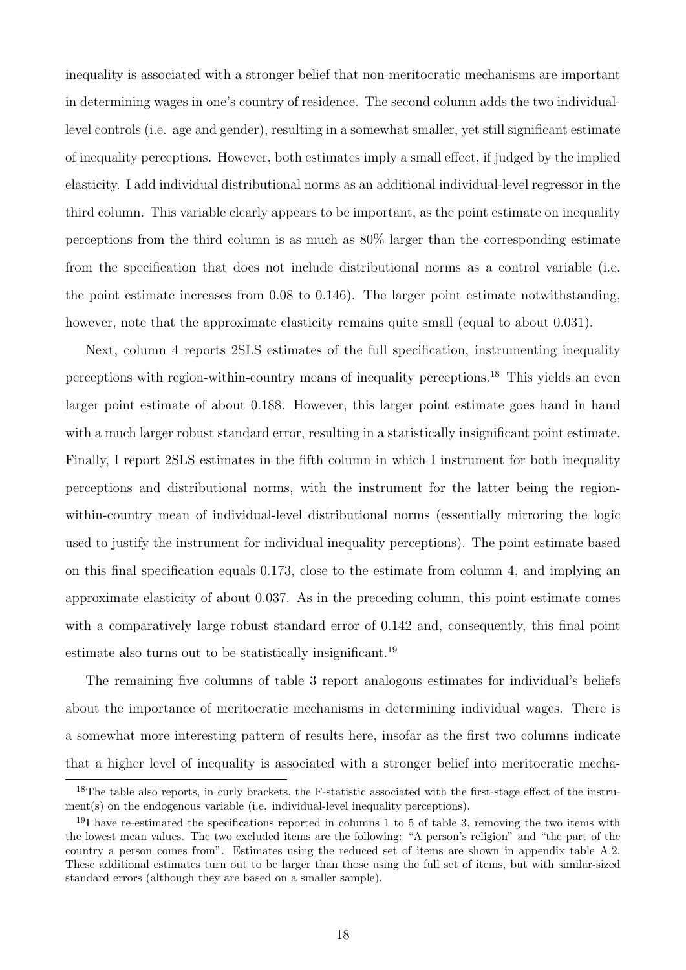inequality is associated with a stronger belief that non-meritocratic mechanisms are important in determining wages in one's country of residence. The second column adds the two individuallevel controls (i.e. age and gender), resulting in a somewhat smaller, yet still significant estimate of inequality perceptions. However, both estimates imply a small effect, if judged by the implied elasticity. I add individual distributional norms as an additional individual-level regressor in the third column. This variable clearly appears to be important, as the point estimate on inequality perceptions from the third column is as much as 80% larger than the corresponding estimate from the specification that does not include distributional norms as a control variable (i.e. the point estimate increases from 0.08 to 0.146). The larger point estimate notwithstanding, however, note that the approximate elasticity remains quite small (equal to about 0.031).

Next, column 4 reports 2SLS estimates of the full specification, instrumenting inequality perceptions with region-within-country means of inequality perceptions.<sup>18</sup> This yields an even larger point estimate of about 0.188. However, this larger point estimate goes hand in hand with a much larger robust standard error, resulting in a statistically insignificant point estimate. Finally, I report 2SLS estimates in the fifth column in which I instrument for both inequality perceptions and distributional norms, with the instrument for the latter being the regionwithin-country mean of individual-level distributional norms (essentially mirroring the logic used to justify the instrument for individual inequality perceptions). The point estimate based on this final specification equals 0.173, close to the estimate from column 4, and implying an approximate elasticity of about 0.037. As in the preceding column, this point estimate comes with a comparatively large robust standard error of 0.142 and, consequently, this final point estimate also turns out to be statistically insignificant.<sup>19</sup>

The remaining five columns of table 3 report analogous estimates for individual's beliefs about the importance of meritocratic mechanisms in determining individual wages. There is a somewhat more interesting pattern of results here, insofar as the first two columns indicate that a higher level of inequality is associated with a stronger belief into meritocratic mecha-

<sup>&</sup>lt;sup>18</sup>The table also reports, in curly brackets, the F-statistic associated with the first-stage effect of the instrument(s) on the endogenous variable (i.e. individual-level inequality perceptions).

<sup>&</sup>lt;sup>19</sup>I have re-estimated the specifications reported in columns 1 to 5 of table 3, removing the two items with the lowest mean values. The two excluded items are the following: "A person's religion" and "the part of the country a person comes from". Estimates using the reduced set of items are shown in appendix table A.2. These additional estimates turn out to be larger than those using the full set of items, but with similar-sized standard errors (although they are based on a smaller sample).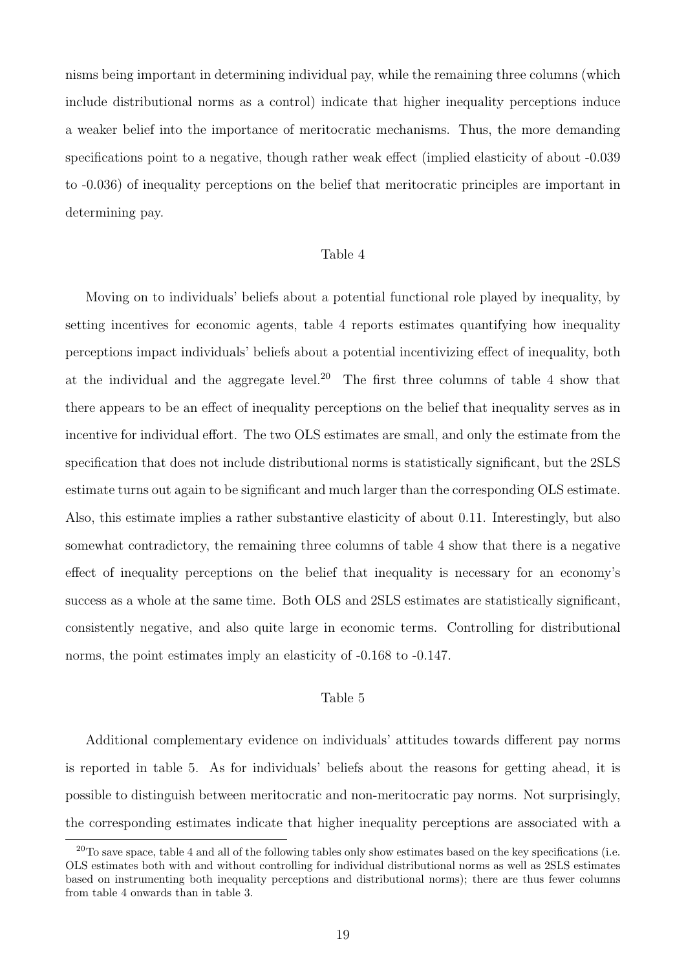nisms being important in determining individual pay, while the remaining three columns (which include distributional norms as a control) indicate that higher inequality perceptions induce a weaker belief into the importance of meritocratic mechanisms. Thus, the more demanding specifications point to a negative, though rather weak effect (implied elasticity of about -0.039 to -0.036) of inequality perceptions on the belief that meritocratic principles are important in determining pay.

#### Table 4

Moving on to individuals' beliefs about a potential functional role played by inequality, by setting incentives for economic agents, table 4 reports estimates quantifying how inequality perceptions impact individuals' beliefs about a potential incentivizing effect of inequality, both at the individual and the aggregate level.<sup>20</sup> The first three columns of table 4 show that there appears to be an effect of inequality perceptions on the belief that inequality serves as in incentive for individual effort. The two OLS estimates are small, and only the estimate from the specification that does not include distributional norms is statistically significant, but the 2SLS estimate turns out again to be significant and much larger than the corresponding OLS estimate. Also, this estimate implies a rather substantive elasticity of about 0.11. Interestingly, but also somewhat contradictory, the remaining three columns of table 4 show that there is a negative effect of inequality perceptions on the belief that inequality is necessary for an economy's success as a whole at the same time. Both OLS and 2SLS estimates are statistically significant, consistently negative, and also quite large in economic terms. Controlling for distributional norms, the point estimates imply an elasticity of -0.168 to -0.147.

#### Table 5

Additional complementary evidence on individuals' attitudes towards different pay norms is reported in table 5. As for individuals' beliefs about the reasons for getting ahead, it is possible to distinguish between meritocratic and non-meritocratic pay norms. Not surprisingly, the corresponding estimates indicate that higher inequality perceptions are associated with a

 $^{20}$ To save space, table 4 and all of the following tables only show estimates based on the key specifications (i.e. OLS estimates both with and without controlling for individual distributional norms as well as 2SLS estimates based on instrumenting both inequality perceptions and distributional norms); there are thus fewer columns from table 4 onwards than in table 3.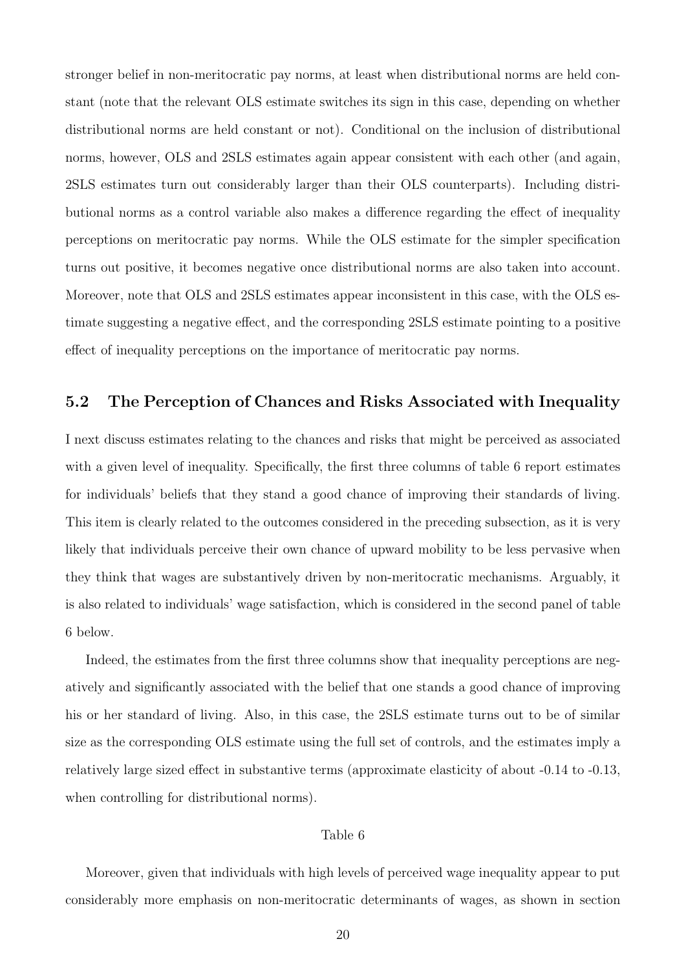stronger belief in non-meritocratic pay norms, at least when distributional norms are held constant (note that the relevant OLS estimate switches its sign in this case, depending on whether distributional norms are held constant or not). Conditional on the inclusion of distributional norms, however, OLS and 2SLS estimates again appear consistent with each other (and again, 2SLS estimates turn out considerably larger than their OLS counterparts). Including distributional norms as a control variable also makes a difference regarding the effect of inequality perceptions on meritocratic pay norms. While the OLS estimate for the simpler specification turns out positive, it becomes negative once distributional norms are also taken into account. Moreover, note that OLS and 2SLS estimates appear inconsistent in this case, with the OLS estimate suggesting a negative effect, and the corresponding 2SLS estimate pointing to a positive effect of inequality perceptions on the importance of meritocratic pay norms.

### 5.2 The Perception of Chances and Risks Associated with Inequality

I next discuss estimates relating to the chances and risks that might be perceived as associated with a given level of inequality. Specifically, the first three columns of table 6 report estimates for individuals' beliefs that they stand a good chance of improving their standards of living. This item is clearly related to the outcomes considered in the preceding subsection, as it is very likely that individuals perceive their own chance of upward mobility to be less pervasive when they think that wages are substantively driven by non-meritocratic mechanisms. Arguably, it is also related to individuals' wage satisfaction, which is considered in the second panel of table 6 below.

Indeed, the estimates from the first three columns show that inequality perceptions are negatively and significantly associated with the belief that one stands a good chance of improving his or her standard of living. Also, in this case, the 2SLS estimate turns out to be of similar size as the corresponding OLS estimate using the full set of controls, and the estimates imply a relatively large sized effect in substantive terms (approximate elasticity of about -0.14 to -0.13, when controlling for distributional norms).

### Table 6

Moreover, given that individuals with high levels of perceived wage inequality appear to put considerably more emphasis on non-meritocratic determinants of wages, as shown in section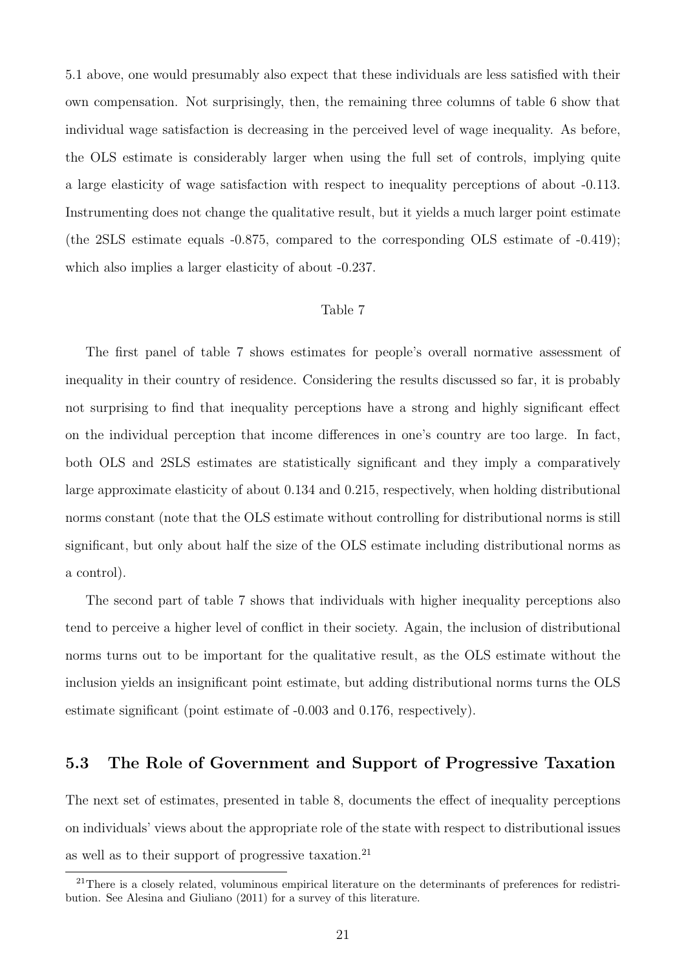5.1 above, one would presumably also expect that these individuals are less satisfied with their own compensation. Not surprisingly, then, the remaining three columns of table 6 show that individual wage satisfaction is decreasing in the perceived level of wage inequality. As before, the OLS estimate is considerably larger when using the full set of controls, implying quite a large elasticity of wage satisfaction with respect to inequality perceptions of about -0.113. Instrumenting does not change the qualitative result, but it yields a much larger point estimate (the 2SLS estimate equals -0.875, compared to the corresponding OLS estimate of -0.419); which also implies a larger elasticity of about -0.237.

#### Table 7

The first panel of table 7 shows estimates for people's overall normative assessment of inequality in their country of residence. Considering the results discussed so far, it is probably not surprising to find that inequality perceptions have a strong and highly significant effect on the individual perception that income differences in one's country are too large. In fact, both OLS and 2SLS estimates are statistically significant and they imply a comparatively large approximate elasticity of about 0.134 and 0.215, respectively, when holding distributional norms constant (note that the OLS estimate without controlling for distributional norms is still significant, but only about half the size of the OLS estimate including distributional norms as a control).

The second part of table 7 shows that individuals with higher inequality perceptions also tend to perceive a higher level of conflict in their society. Again, the inclusion of distributional norms turns out to be important for the qualitative result, as the OLS estimate without the inclusion yields an insignificant point estimate, but adding distributional norms turns the OLS estimate significant (point estimate of -0.003 and 0.176, respectively).

### 5.3 The Role of Government and Support of Progressive Taxation

The next set of estimates, presented in table 8, documents the effect of inequality perceptions on individuals' views about the appropriate role of the state with respect to distributional issues as well as to their support of progressive taxation.<sup>21</sup>

<sup>&</sup>lt;sup>21</sup>There is a closely related, voluminous empirical literature on the determinants of preferences for redistribution. See Alesina and Giuliano (2011) for a survey of this literature.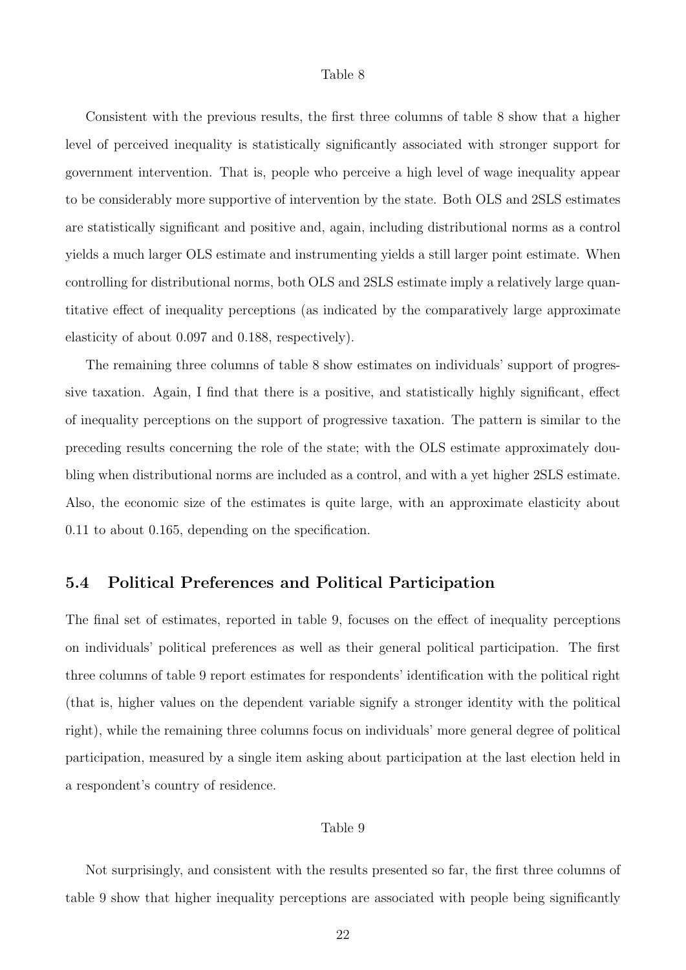#### Table 8

Consistent with the previous results, the first three columns of table 8 show that a higher level of perceived inequality is statistically significantly associated with stronger support for government intervention. That is, people who perceive a high level of wage inequality appear to be considerably more supportive of intervention by the state. Both OLS and 2SLS estimates are statistically significant and positive and, again, including distributional norms as a control yields a much larger OLS estimate and instrumenting yields a still larger point estimate. When controlling for distributional norms, both OLS and 2SLS estimate imply a relatively large quantitative effect of inequality perceptions (as indicated by the comparatively large approximate elasticity of about 0.097 and 0.188, respectively).

The remaining three columns of table 8 show estimates on individuals' support of progressive taxation. Again, I find that there is a positive, and statistically highly significant, effect of inequality perceptions on the support of progressive taxation. The pattern is similar to the preceding results concerning the role of the state; with the OLS estimate approximately doubling when distributional norms are included as a control, and with a yet higher 2SLS estimate. Also, the economic size of the estimates is quite large, with an approximate elasticity about 0.11 to about 0.165, depending on the specification.

### 5.4 Political Preferences and Political Participation

The final set of estimates, reported in table 9, focuses on the effect of inequality perceptions on individuals' political preferences as well as their general political participation. The first three columns of table 9 report estimates for respondents' identification with the political right (that is, higher values on the dependent variable signify a stronger identity with the political right), while the remaining three columns focus on individuals' more general degree of political participation, measured by a single item asking about participation at the last election held in a respondent's country of residence.

### Table 9

Not surprisingly, and consistent with the results presented so far, the first three columns of table 9 show that higher inequality perceptions are associated with people being significantly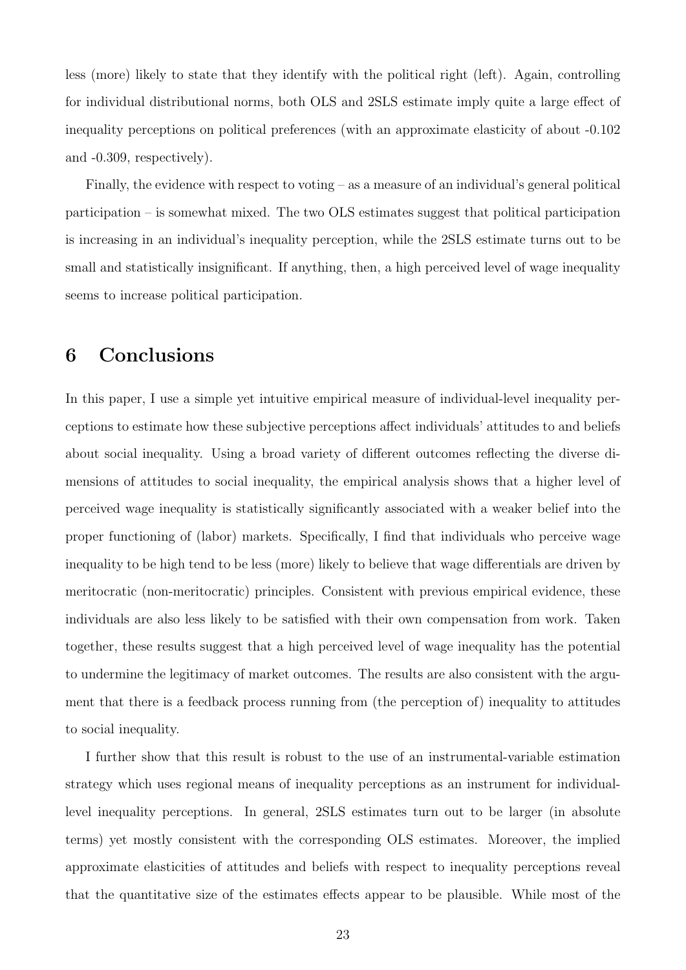less (more) likely to state that they identify with the political right (left). Again, controlling for individual distributional norms, both OLS and 2SLS estimate imply quite a large effect of inequality perceptions on political preferences (with an approximate elasticity of about -0.102 and -0.309, respectively).

Finally, the evidence with respect to voting – as a measure of an individual's general political participation – is somewhat mixed. The two OLS estimates suggest that political participation is increasing in an individual's inequality perception, while the 2SLS estimate turns out to be small and statistically insignificant. If anything, then, a high perceived level of wage inequality seems to increase political participation.

### 6 Conclusions

In this paper, I use a simple yet intuitive empirical measure of individual-level inequality perceptions to estimate how these subjective perceptions affect individuals' attitudes to and beliefs about social inequality. Using a broad variety of different outcomes reflecting the diverse dimensions of attitudes to social inequality, the empirical analysis shows that a higher level of perceived wage inequality is statistically significantly associated with a weaker belief into the proper functioning of (labor) markets. Specifically, I find that individuals who perceive wage inequality to be high tend to be less (more) likely to believe that wage differentials are driven by meritocratic (non-meritocratic) principles. Consistent with previous empirical evidence, these individuals are also less likely to be satisfied with their own compensation from work. Taken together, these results suggest that a high perceived level of wage inequality has the potential to undermine the legitimacy of market outcomes. The results are also consistent with the argument that there is a feedback process running from (the perception of) inequality to attitudes to social inequality.

I further show that this result is robust to the use of an instrumental-variable estimation strategy which uses regional means of inequality perceptions as an instrument for individuallevel inequality perceptions. In general, 2SLS estimates turn out to be larger (in absolute terms) yet mostly consistent with the corresponding OLS estimates. Moreover, the implied approximate elasticities of attitudes and beliefs with respect to inequality perceptions reveal that the quantitative size of the estimates effects appear to be plausible. While most of the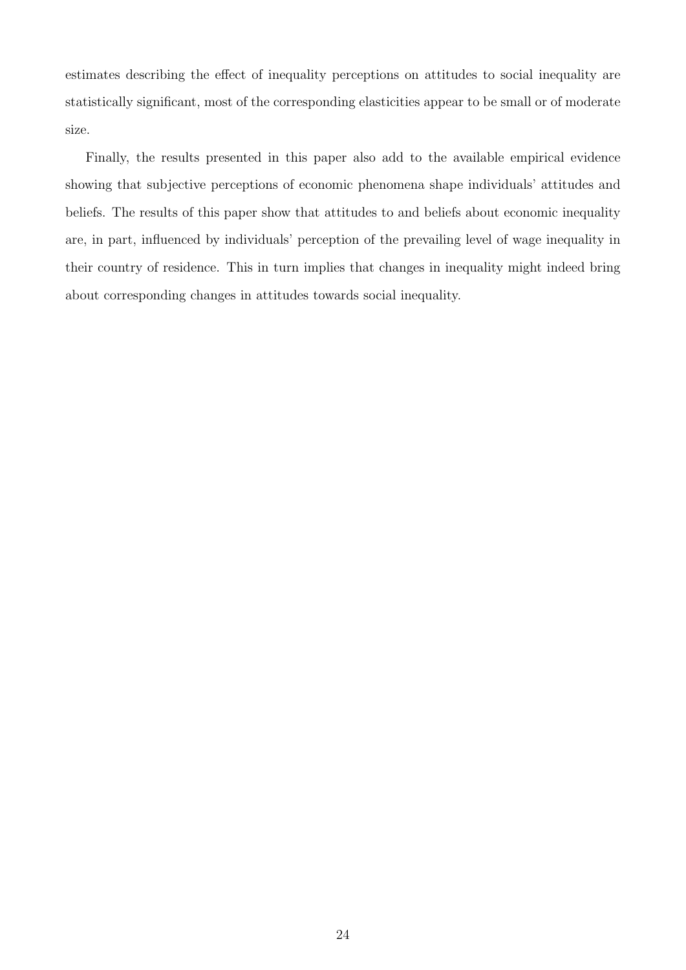estimates describing the effect of inequality perceptions on attitudes to social inequality are statistically significant, most of the corresponding elasticities appear to be small or of moderate size.

Finally, the results presented in this paper also add to the available empirical evidence showing that subjective perceptions of economic phenomena shape individuals' attitudes and beliefs. The results of this paper show that attitudes to and beliefs about economic inequality are, in part, influenced by individuals' perception of the prevailing level of wage inequality in their country of residence. This in turn implies that changes in inequality might indeed bring about corresponding changes in attitudes towards social inequality.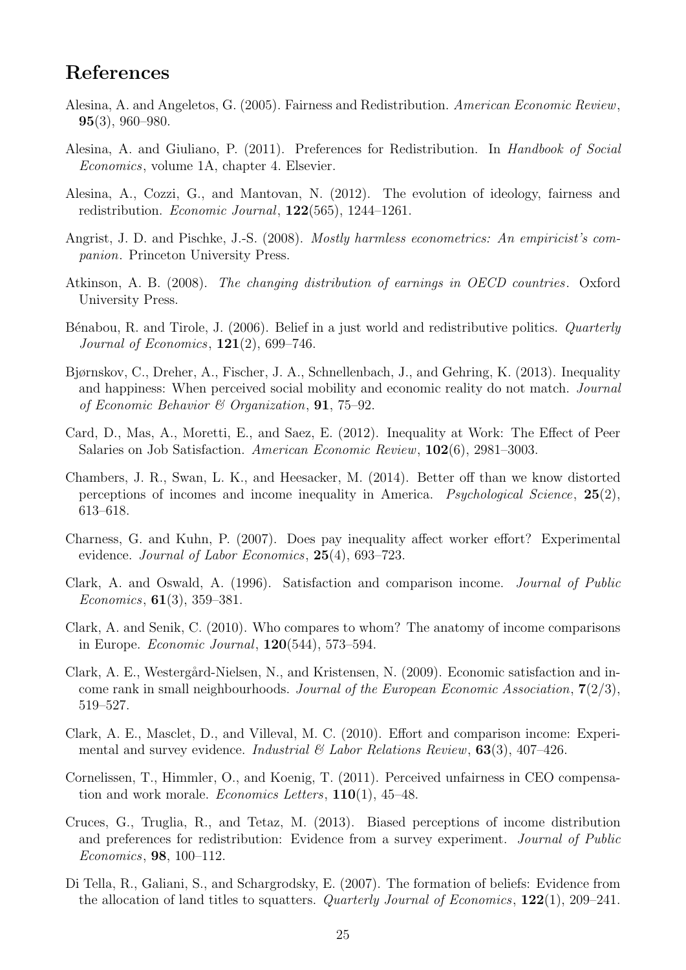### References

- Alesina, A. and Angeletos, G. (2005). Fairness and Redistribution. American Economic Review, 95(3), 960–980.
- Alesina, A. and Giuliano, P. (2011). Preferences for Redistribution. In *Handbook of Social* Economics, volume 1A, chapter 4. Elsevier.
- Alesina, A., Cozzi, G., and Mantovan, N. (2012). The evolution of ideology, fairness and redistribution. Economic Journal, 122(565), 1244–1261.
- Angrist, J. D. and Pischke, J.-S. (2008). Mostly harmless econometrics: An empiricist's companion. Princeton University Press.
- Atkinson, A. B. (2008). The changing distribution of earnings in OECD countries. Oxford University Press.
- Bénabou, R. and Tirole, J. (2006). Belief in a just world and redistributive politics. Quarterly *Journal of Economics*,  $121(2)$ , 699–746.
- Bjørnskov, C., Dreher, A., Fischer, J. A., Schnellenbach, J., and Gehring, K. (2013). Inequality and happiness: When perceived social mobility and economic reality do not match. Journal of Economic Behavior & Organization, 91, 75–92.
- Card, D., Mas, A., Moretti, E., and Saez, E. (2012). Inequality at Work: The Effect of Peer Salaries on Job Satisfaction. American Economic Review, 102(6), 2981–3003.
- Chambers, J. R., Swan, L. K., and Heesacker, M. (2014). Better off than we know distorted perceptions of incomes and income inequality in America. *Psychological Science*,  $25(2)$ , 613–618.
- Charness, G. and Kuhn, P. (2007). Does pay inequality affect worker effort? Experimental evidence. *Journal of Labor Economics*, **25**(4), 693–723.
- Clark, A. and Oswald, A. (1996). Satisfaction and comparison income. Journal of Public Economics, 61(3), 359–381.
- Clark, A. and Senik, C. (2010). Who compares to whom? The anatomy of income comparisons in Europe. Economic Journal, 120(544), 573–594.
- Clark, A. E., Westergård-Nielsen, N., and Kristensen, N. (2009). Economic satisfaction and income rank in small neighbourhoods. Journal of the European Economic Association,  $7(2/3)$ , 519–527.
- Clark, A. E., Masclet, D., and Villeval, M. C. (2010). Effort and comparison income: Experimental and survey evidence. Industrial  $\mathcal C$  Labor Relations Review, 63(3), 407-426.
- Cornelissen, T., Himmler, O., and Koenig, T. (2011). Perceived unfairness in CEO compensation and work morale. Economics Letters, 110(1), 45–48.
- Cruces, G., Truglia, R., and Tetaz, M. (2013). Biased perceptions of income distribution and preferences for redistribution: Evidence from a survey experiment. Journal of Public Economics, 98, 100–112.
- Di Tella, R., Galiani, S., and Schargrodsky, E. (2007). The formation of beliefs: Evidence from the allocation of land titles to squatters. Quarterly Journal of Economics, 122(1), 209–241.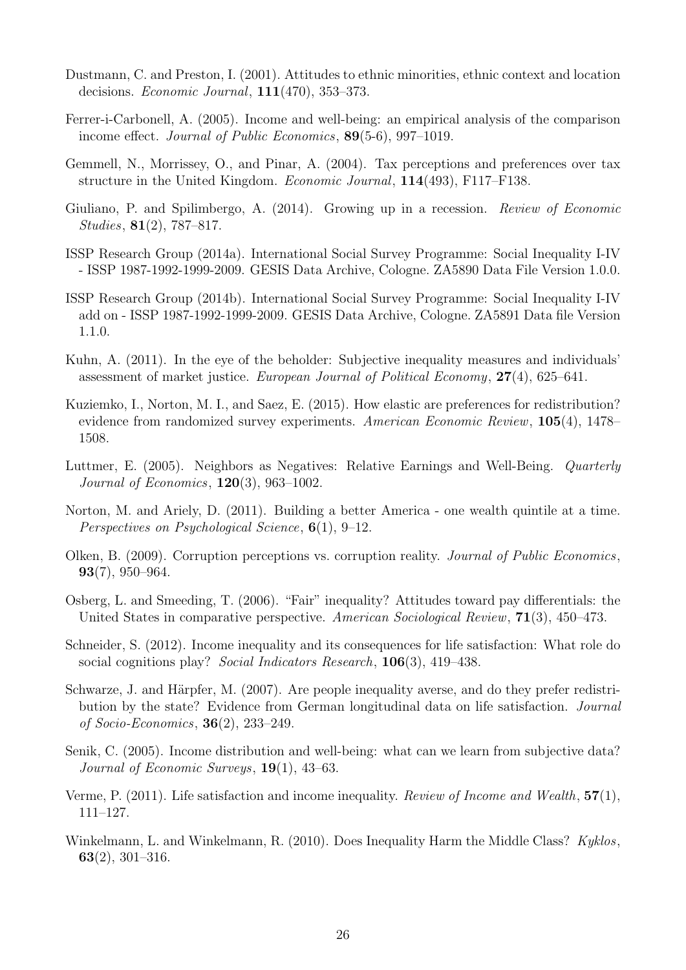- Dustmann, C. and Preston, I. (2001). Attitudes to ethnic minorities, ethnic context and location decisions. Economic Journal, 111(470), 353–373.
- Ferrer-i-Carbonell, A. (2005). Income and well-being: an empirical analysis of the comparison income effect. Journal of Public Economics, 89(5-6), 997–1019.
- Gemmell, N., Morrissey, O., and Pinar, A. (2004). Tax perceptions and preferences over tax structure in the United Kingdom. Economic Journal, 114(493), F117–F138.
- Giuliano, P. and Spilimbergo, A. (2014). Growing up in a recession. Review of Economic Studies, 81(2), 787–817.
- ISSP Research Group (2014a). International Social Survey Programme: Social Inequality I-IV - ISSP 1987-1992-1999-2009. GESIS Data Archive, Cologne. ZA5890 Data File Version 1.0.0.
- ISSP Research Group (2014b). International Social Survey Programme: Social Inequality I-IV add on - ISSP 1987-1992-1999-2009. GESIS Data Archive, Cologne. ZA5891 Data file Version 1.1.0.
- Kuhn, A. (2011). In the eye of the beholder: Subjective inequality measures and individuals' assessment of market justice. European Journal of Political Economy, 27(4), 625–641.
- Kuziemko, I., Norton, M. I., and Saez, E. (2015). How elastic are preferences for redistribution? evidence from randomized survey experiments. American Economic Review, 105(4), 1478– 1508.
- Luttmer, E. (2005). Neighbors as Negatives: Relative Earnings and Well-Being. Quarterly *Journal of Economics*,  $120(3)$ ,  $963-1002$ .
- Norton, M. and Ariely, D. (2011). Building a better America one wealth quintile at a time. Perspectives on Psychological Science, 6(1), 9–12.
- Olken, B. (2009). Corruption perceptions vs. corruption reality. Journal of Public Economics, 93(7), 950–964.
- Osberg, L. and Smeeding, T. (2006). "Fair" inequality? Attitudes toward pay differentials: the United States in comparative perspective. American Sociological Review, 71(3), 450–473.
- Schneider, S. (2012). Income inequality and its consequences for life satisfaction: What role do social cognitions play? Social Indicators Research, 106(3), 419–438.
- Schwarze, J. and Härpfer, M. (2007). Are people inequality averse, and do they prefer redistribution by the state? Evidence from German longitudinal data on life satisfaction. Journal of Socio-Economics, 36(2), 233–249.
- Senik, C. (2005). Income distribution and well-being: what can we learn from subjective data? Journal of Economic Surveys,  $19(1)$ ,  $43-63$ .
- Verme, P. (2011). Life satisfaction and income inequality. Review of Income and Wealth,  $57(1)$ , 111–127.
- Winkelmann, L. and Winkelmann, R. (2010). Does Inequality Harm the Middle Class? Kyklos, 63(2), 301–316.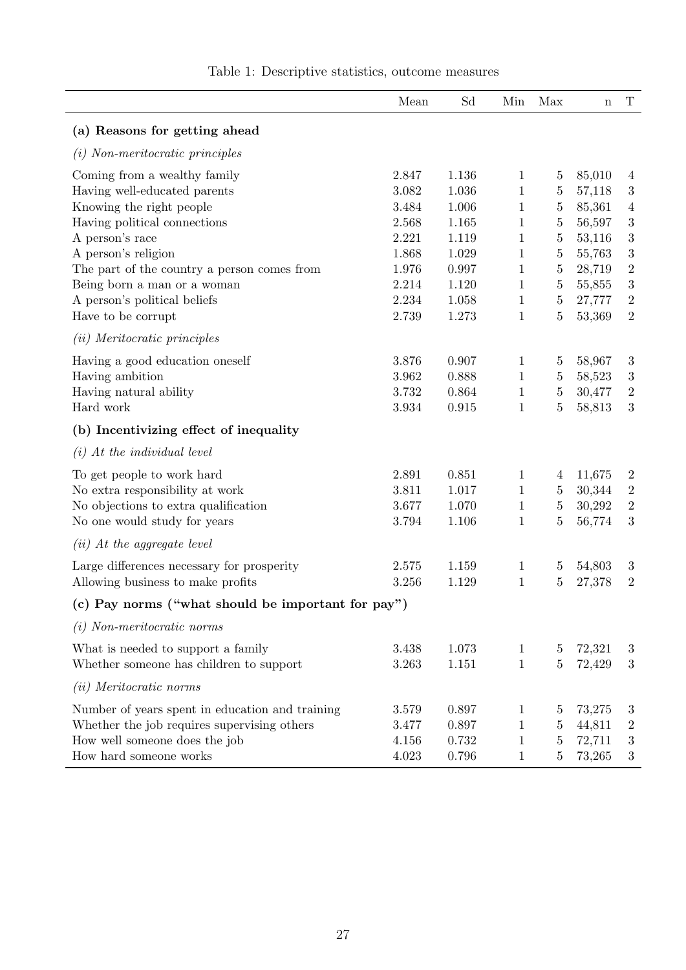|                                                              | Mean           | Sd             | Min          | Max                              | $\mathbf n$      | $\mathbf T$      |
|--------------------------------------------------------------|----------------|----------------|--------------|----------------------------------|------------------|------------------|
| (a) Reasons for getting ahead                                |                |                |              |                                  |                  |                  |
| $(i)$ Non-meritocratic principles                            |                |                |              |                                  |                  |                  |
| Coming from a wealthy family<br>Having well-educated parents | 2.847<br>3.082 | 1.136<br>1.036 | 1<br>1       | $\overline{5}$<br>$\overline{5}$ | 85,010<br>57,118 | 4<br>$\sqrt{3}$  |
| Knowing the right people                                     | 3.484          | 1.006          | $\mathbf 1$  | $\bf 5$                          | 85,361           | $\overline{4}$   |
| Having political connections                                 | 2.568          | 1.165          | 1            | $\bf 5$                          | 56,597           | $\sqrt{3}$       |
| A person's race                                              | 2.221          | 1.119          | 1            | $\overline{5}$                   | 53,116           | $\sqrt{3}$       |
| A person's religion                                          | 1.868          | 1.029          | 1            | $\bf 5$                          | 55,763           | $\sqrt{3}$       |
| The part of the country a person comes from                  | 1.976          | 0.997          | 1            | $\overline{5}$                   | 28,719           | $\overline{2}$   |
| Being born a man or a woman                                  | 2.214          | 1.120          | $\mathbf{1}$ | $\bf 5$                          | 55,855           | $\sqrt{3}$       |
| A person's political beliefs                                 | 2.234          | 1.058          | 1            | $\overline{5}$                   | 27,777           | $\sqrt{2}$       |
| Have to be corrupt                                           | 2.739          | 1.273          | $\mathbf{1}$ | $\bf 5$                          | 53,369           | $\overline{2}$   |
| ( <i>ii</i> ) Meritocratic principles                        |                |                |              |                                  |                  |                  |
| Having a good education oneself                              | 3.876          | 0.907          | $\mathbf{1}$ | $\overline{5}$                   | 58,967           | $\sqrt{3}$       |
| Having ambition                                              | 3.962          | 0.888          | $\mathbf{1}$ | $\overline{5}$                   | 58,523           | $\sqrt{3}$       |
| Having natural ability                                       | 3.732          | 0.864          | 1            | $\bf 5$                          | 30,477           | $\overline{2}$   |
| Hard work                                                    | $3.934\,$      | 0.915          | $\mathbf{1}$ | $\overline{5}$                   | 58,813           | $\boldsymbol{3}$ |
| (b) Incentivizing effect of inequality                       |                |                |              |                                  |                  |                  |
| $(i)$ At the individual level                                |                |                |              |                                  |                  |                  |
| To get people to work hard                                   | 2.891          | 0.851          | $\mathbf{1}$ | 4                                | 11,675           | $\overline{2}$   |
| No extra responsibility at work                              | 3.811          | 1.017          | 1            | $\overline{5}$                   | 30,344           | $\overline{2}$   |
| No objections to extra qualification                         | 3.677          | 1.070          | $\mathbf{1}$ | $\bf 5$                          | 30,292           | $\overline{2}$   |
| No one would study for years                                 | 3.794          | 1.106          | 1            | $\overline{5}$                   | 56,774           | $\sqrt{3}$       |
| $(ii)$ At the aggregate level                                |                |                |              |                                  |                  |                  |
| Large differences necessary for prosperity                   | 2.575          | 1.159          | 1            | $\overline{5}$                   | 54,803           | 3                |
| Allowing business to make profits                            | 3.256          | $1.129\,$      | $\mathbf{1}$ | $\overline{5}$                   | 27,378           | $\overline{2}$   |
| (c) Pay norms ("what should be important for pay")           |                |                |              |                                  |                  |                  |
| $(i)$ Non-meritocratic norms                                 |                |                |              |                                  |                  |                  |
| What is needed to support a family                           | 3.438          | 1.073          | $\mathbf{1}$ | $\overline{5}$                   | 72,321           | 3                |
| Whether someone has children to support                      | 3.263          | 1.151          | $\mathbf{1}$ | $\overline{5}$                   | 72,429           | 3                |
| (ii) Meritocratic norms                                      |                |                |              |                                  |                  |                  |
| Number of years spent in education and training              | 3.579          | 0.897          | 1            | $\overline{5}$                   | 73,275           | 3                |
| Whether the job requires supervising others                  | 3.477          | 0.897          | 1            | $\overline{5}$                   | 44,811           | $\boldsymbol{2}$ |
| How well someone does the job                                | 4.156          | 0.732          | $\mathbf 1$  | $\overline{5}$                   | 72,711           | $\sqrt{3}$       |
| How hard someone works                                       | 4.023          | 0.796          | $\mathbf{1}$ | $\overline{5}$                   | 73,265           | $\sqrt{3}$       |

Table 1: Descriptive statistics, outcome measures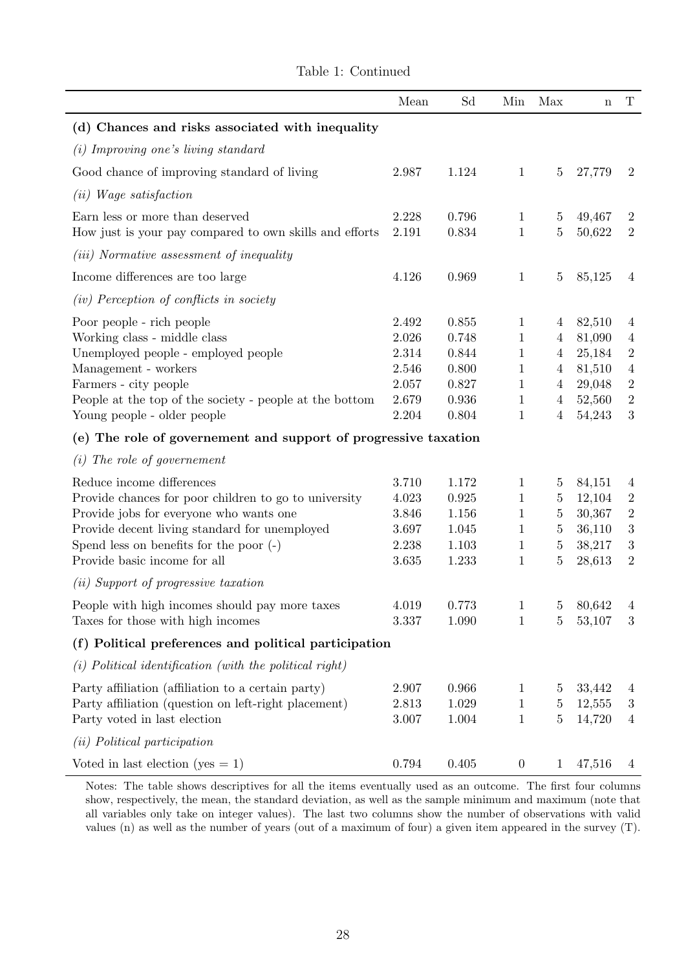|                                                                                            | Mean           | Sd             | Min                         | Max                 | $\mathbf n$      | $\mathbf T$                      |
|--------------------------------------------------------------------------------------------|----------------|----------------|-----------------------------|---------------------|------------------|----------------------------------|
| (d) Chances and risks associated with inequality                                           |                |                |                             |                     |                  |                                  |
| (i) Improving one's living standard                                                        |                |                |                             |                     |                  |                                  |
| Good chance of improving standard of living                                                | 2.987          | 1.124          | $\mathbf{1}$                | $\overline{5}$      | 27,779           | $\overline{2}$                   |
| ( <i>ii</i> ) <i>Wage satisfaction</i>                                                     |                |                |                             |                     |                  |                                  |
| Earn less or more than deserved<br>How just is your pay compared to own skills and efforts | 2.228<br>2.191 | 0.796<br>0.834 | $\mathbf 1$<br>$\mathbf{1}$ | 5<br>$\bf 5$        | 49,467<br>50,622 | $\overline{2}$<br>$\overline{2}$ |
| <i>(iii)</i> Normative assessment of inequality                                            |                |                |                             |                     |                  |                                  |
| Income differences are too large                                                           | 4.126          | 0.969          | $\mathbf 1$                 | $\overline{5}$      | 85,125           | 4                                |
| (iv) Perception of conflicts in society                                                    |                |                |                             |                     |                  |                                  |
| Poor people - rich people<br>Working class - middle class                                  | 2.492<br>2.026 | 0.855<br>0.748 | $\mathbf 1$<br>1            | 4<br>$\overline{4}$ | 82,510<br>81,090 | $\overline{4}$<br>$\overline{4}$ |
| Unemployed people - employed people                                                        | 2.314          | 0.844          | 1                           | $\overline{4}$      | 25,184           | $\sqrt{2}$                       |
| Management - workers                                                                       | 2.546          | 0.800          | 1                           | $\overline{4}$      | 81,510           | $\overline{4}$                   |
| Farmers - city people                                                                      | 2.057          | 0.827          | $\mathbf{1}$                | $\overline{4}$      | 29,048           | $\sqrt{2}$                       |
| People at the top of the society - people at the bottom                                    | 2.679          | 0.936          | 1                           | $\overline{4}$      | 52,560           | $\sqrt{2}$                       |
| Young people - older people                                                                | 2.204          | 0.804          | 1                           | $\overline{4}$      | 54,243           | $\sqrt{3}$                       |
| (e) The role of governement and support of progressive taxation                            |                |                |                             |                     |                  |                                  |
| The role of governement<br>(i)                                                             |                |                |                             |                     |                  |                                  |
| Reduce income differences                                                                  | 3.710          | 1.172          | 1                           | 5                   | 84,151           | $\overline{4}$                   |
| Provide chances for poor children to go to university                                      | 4.023          | 0.925          | 1                           | $\overline{5}$      | 12,104           | $\sqrt{2}$                       |
| Provide jobs for everyone who wants one                                                    | 3.846          | 1.156          | 1                           | $\bf 5$             | 30,367           | $\sqrt{2}$                       |
| Provide decent living standard for unemployed                                              | 3.697          | 1.045          | $\mathbf{1}$                | $\bf 5$             | 36,110           | $\sqrt{3}$                       |
| Spend less on benefits for the poor $(-)$                                                  | 2.238          | 1.103          | $\mathbf{1}$                | $\bf 5$             | 38,217           | $\sqrt{3}$                       |
| Provide basic income for all                                                               | 3.635          | 1.233          | 1                           | $\overline{5}$      | 28,613           | $\overline{2}$                   |
| ( <i>ii</i> ) Support of progressive taxation                                              |                |                |                             |                     |                  |                                  |
| People with high incomes should pay more taxes                                             | 4.019          | 0.773          | $\mathbf{1}$                | 5 <sub>5</sub>      | 80,642           | $\overline{4}$                   |
| Taxes for those with high incomes                                                          | 3.337          | 1.090          | 1                           | 5                   | 53,107           | 3                                |
| (f) Political preferences and political participation                                      |                |                |                             |                     |                  |                                  |
| $(i)$ Political identification (with the political right)                                  |                |                |                             |                     |                  |                                  |
| Party affiliation (affiliation to a certain party)                                         | 2.907          | 0.966          | 1                           | $\overline{5}$      | 33,442           | 4                                |
| Party affiliation (question on left-right placement)                                       | 2.813          | 1.029          | 1                           | $\overline{5}$      | 12,555           | $\boldsymbol{3}$                 |
| Party voted in last election                                                               | 3.007          | 1.004          | $\mathbf{1}$                | $\bf 5$             | 14,720           | $\overline{4}$                   |
| ( <i>ii</i> ) Political participation                                                      |                |                |                             |                     |                  |                                  |
| Voted in last election (yes $= 1$ )                                                        | 0.794          | 0.405          | $\boldsymbol{0}$            | 1                   | 47,516           | 4                                |

Table 1: Continued

Notes: The table shows descriptives for all the items eventually used as an outcome. The first four columns show, respectively, the mean, the standard deviation, as well as the sample minimum and maximum (note that all variables only take on integer values). The last two columns show the number of observations with valid values (n) as well as the number of years (out of a maximum of four) a given item appeared in the survey (T).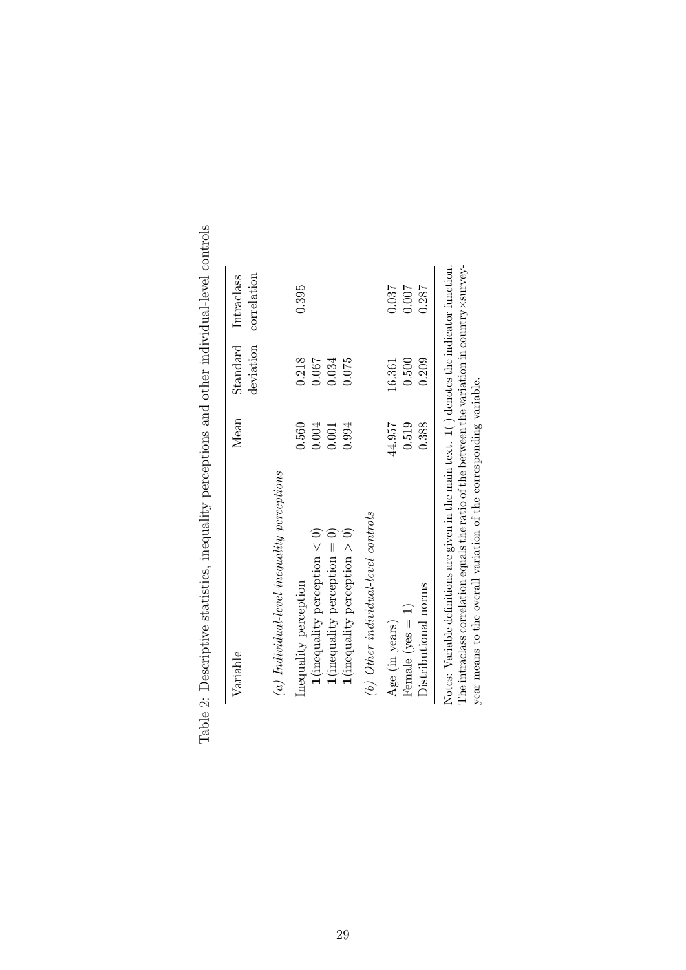| Variable                                      | Mean   | deviation<br>Standard | correlation<br>Intraclass |
|-----------------------------------------------|--------|-----------------------|---------------------------|
| $(a)$ Individual-level inequality perceptions |        |                       |                           |
| Inequality perception                         | 0.560  | 0.218                 | 0.395                     |
| $1$ (inequality perception $< 0$ )            | 0.004  | 0.067                 |                           |
| $\mathbf{1}$ (inequality perception = 0)      | 0.001  | 0.034                 |                           |
| $1$ (inequality perception $> 0$ )            | 0.994  | 0.075                 |                           |
| $(b)$ Other individual-level controls         |        |                       |                           |
| Age (in years)                                | 44.957 | 16.361                | 0.037                     |
| Female $(yes = 1)$                            | 0.519  | 0.500                 | 0.007                     |
| Distributional norms                          | 0.388  | 0.209                 | 0.287                     |

Table 2: Descriptive statistics, inequality perceptions and other individual-level controls Table 2: Descriptive statistics, inequality perceptions and other individual-level controls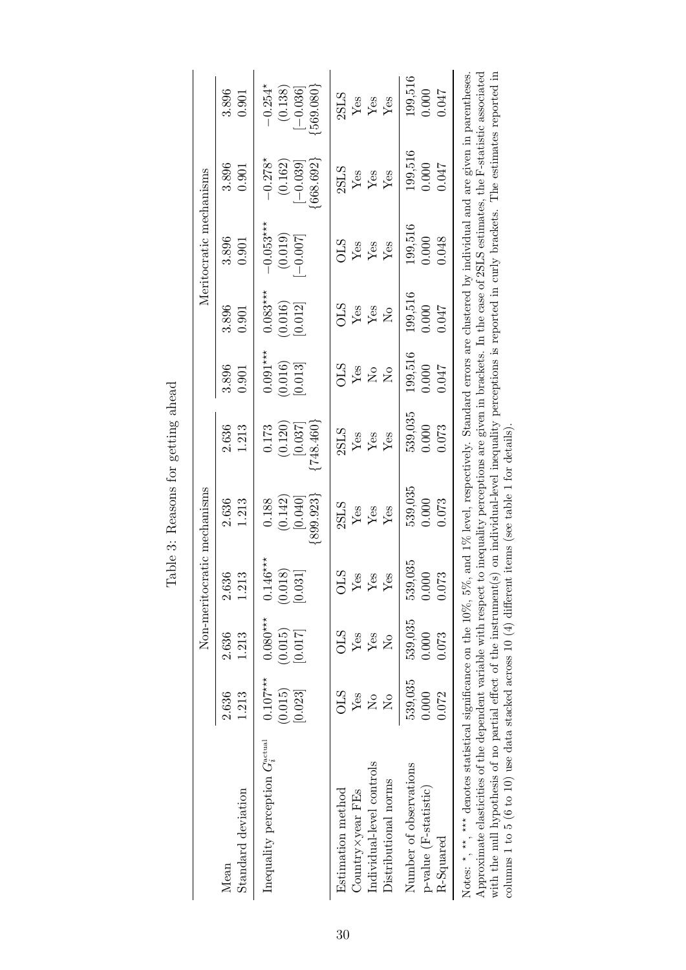| 0.900                   |
|-------------------------|
| $\sigma$ ettin $\sigma$ |
| م<br>م<br>\$            |
| 399<br>₽                |
| Ć                       |
| 주                       |

|                                                                                                                                                                                                                                                                                                                                                                                                                              |                                                                      |                                                     | Non-meritocratic mechanisms      |                                            |                                                                                                                                                                                                             |                                                                                     |                                     | Meritocratic mechanisms                  |                                                   |                                             |
|------------------------------------------------------------------------------------------------------------------------------------------------------------------------------------------------------------------------------------------------------------------------------------------------------------------------------------------------------------------------------------------------------------------------------|----------------------------------------------------------------------|-----------------------------------------------------|----------------------------------|--------------------------------------------|-------------------------------------------------------------------------------------------------------------------------------------------------------------------------------------------------------------|-------------------------------------------------------------------------------------|-------------------------------------|------------------------------------------|---------------------------------------------------|---------------------------------------------|
| Standard deviation<br>Mean                                                                                                                                                                                                                                                                                                                                                                                                   | 2.636<br>1.213                                                       | 2.636<br>1.213                                      | 2.636<br>1.213                   | 2.636<br>1.213                             | 2.636<br>1.213                                                                                                                                                                                              | 3.896<br>0.901                                                                      | 3.896<br>0.901                      | 3.896<br>0.901                           | 3.896<br>0.901                                    | 3.896<br>0.901                              |
| Inequality perception $G_i^{\text{actual}}$                                                                                                                                                                                                                                                                                                                                                                                  | $0.107***$<br>(0.015)<br>[0.023]                                     | $0.080***$<br>(0.015)<br>[0.017]                    | $0.146***$<br>(0.018)<br>[0.031] | ${899.923}$<br>(0.142)<br>[0.040]<br>0.188 | [748.460]<br>(0.120)<br>[0.037]<br>0.173                                                                                                                                                                    | $0.091***$<br>(0.016)<br>[0.013]                                                    | $0.083***$<br>(0.016)<br>[0.012]    | $-0.053***$<br>(0.019)<br>$-0.007$       | $-0.278*$<br>${668.692}$<br>(0.162)<br>$[-0.039]$ | $-0.254*$<br>569.080<br>(0.138)<br>$-0.036$ |
| Individual-level controls<br>Distributional norms<br>Estimation method<br>Country×year FEs                                                                                                                                                                                                                                                                                                                                   | SLS<br>Yes<br>$\mathsf{S}^{\mathsf{O}}$<br>$\mathsf{S}^{\mathsf{O}}$ | <b>STO</b><br>Yes<br>Yes<br>$\mathsf{\Sigma}^\circ$ | STO<br>Yes<br>Yes<br>Yes         | 2SLS<br>Yes<br>$\frac{Y}{Y}$ es            | 2SLS<br>$\mathbf{Yes}$<br>Yes<br>Yes                                                                                                                                                                        | STC<br>$\operatorname{Yes}$<br>$\overline{\mathsf{S}}$<br>$\mathsf{S}^{\mathsf{O}}$ | STC<br>Yes<br>Yes<br>$\overline{R}$ | STO<br>${\rm Yes}$<br>Yes<br>${\rm Yes}$ | 2SLS<br>${\rm Yes}$<br>Yes<br>${\rm Yes}$         | 2SLS<br>${\rm Yes}$<br>Yes<br>Yes           |
| Number of observations<br>p-value (F-statistic)<br>$R\text{-}Squared$                                                                                                                                                                                                                                                                                                                                                        | 539,035<br>0.072<br>0.000                                            | 539,035<br>0.000<br>0.073                           | 539,035<br>0.073<br>0.000        | 539,035<br>0.000<br>0.073                  | 539,035<br>0.000<br>0.073                                                                                                                                                                                   | 199,516<br>0.000<br>710.0                                                           | 199,516<br>0.000<br>1047            | 199,516<br>0.048<br>0.000                | 199,516<br>0.000<br>710.0                         | 199,516<br>0.000<br>710.0                   |
| Approximate elasticities of the dependent variable with respect to inequality perceptions are given in brackets. In the case of 2SLS estimates, the F-statistic associated<br>Notes: $\star$ , $\star\star$ , $\star\star\star$ denotes statistical significance on the 10%, 5%,<br>with the null hypothesis of no partial effect of the instrument(s<br>columns 1 to 5 (6 to 10) use data stacked across 10 $(4)$ different |                                                                      |                                                     |                                  | items (see table 1 for details)            | on individual-level inequality perceptions is reported in curly brackets. The estimates reported in<br>and 1% level, respectively. Standard errors are clustered by individual and are given in parentheses |                                                                                     |                                     |                                          |                                                   |                                             |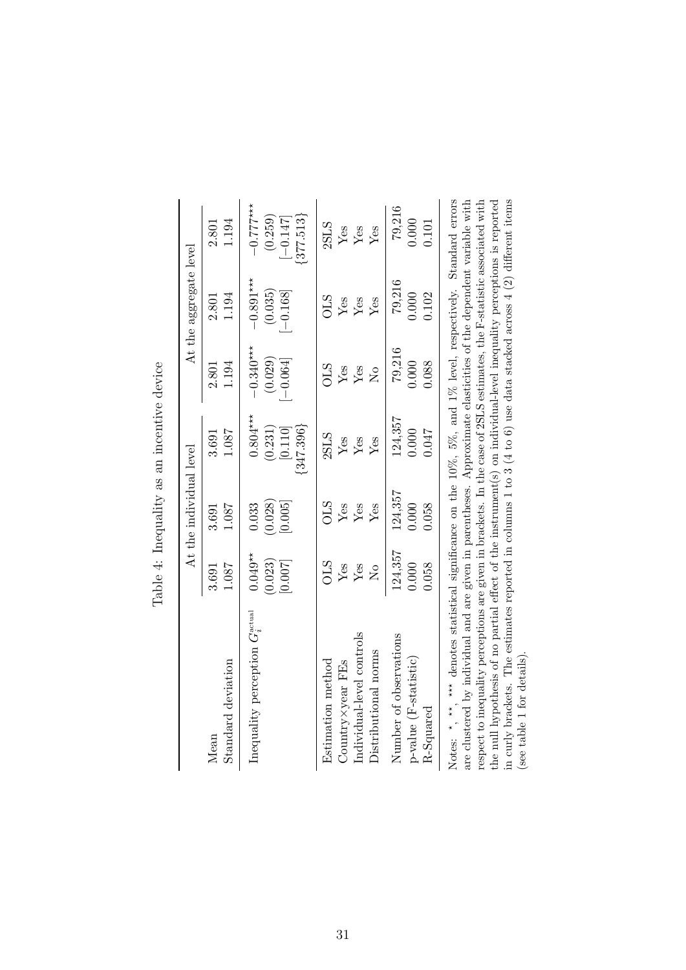|                                                                                                                                                                                                                                                                                                                                                                                                                                                                                                                                                                                                                                                                           |                                 | At the individual level     |                                                 |                                      | At the aggregate level               |                                                       |
|---------------------------------------------------------------------------------------------------------------------------------------------------------------------------------------------------------------------------------------------------------------------------------------------------------------------------------------------------------------------------------------------------------------------------------------------------------------------------------------------------------------------------------------------------------------------------------------------------------------------------------------------------------------------------|---------------------------------|-----------------------------|-------------------------------------------------|--------------------------------------|--------------------------------------|-------------------------------------------------------|
| Standard deviation                                                                                                                                                                                                                                                                                                                                                                                                                                                                                                                                                                                                                                                        | 1.087                           | 1.087                       | 1.087                                           | 1.194                                | 1.194                                | 1.194                                                 |
| Mean                                                                                                                                                                                                                                                                                                                                                                                                                                                                                                                                                                                                                                                                      | 3.691                           | 3.691                       | 3.691                                           | 2.801                                | 2.801                                | 2.801                                                 |
| Inequality perception $G_{\sigma}^{\text{actual}}$                                                                                                                                                                                                                                                                                                                                                                                                                                                                                                                                                                                                                        | $0.049**$<br>(0.023)<br>[0.007] | (0.028)<br>[0.005]<br>0.033 | $0.804***$<br>${347.396}$<br>(0.231)<br>[0.110] | $-0.340***$<br>(0.029)<br>$[-0.064]$ | $-0.891***$<br>(0.035)<br>$[-0.168]$ | $-0.777***$<br>$\{377.513\}$<br>(0.259)<br>$[-0.147]$ |
| Estimation method                                                                                                                                                                                                                                                                                                                                                                                                                                                                                                                                                                                                                                                         | STC                             | SLO                         | 2SLS                                            | STC                                  | SLO                                  | 2SLS                                                  |
| $Country \times year$ FEs                                                                                                                                                                                                                                                                                                                                                                                                                                                                                                                                                                                                                                                 | Yes                             | Yes                         | Yes                                             | Yes                                  | Yes                                  | $\rm Yes$                                             |
| Individual-level controls                                                                                                                                                                                                                                                                                                                                                                                                                                                                                                                                                                                                                                                 | Yes                             | Yes                         | ${\rm Yes}$                                     | Yes                                  | ${\rm Yes}$                          | ${\rm Yes}$                                           |
| Distributional norms                                                                                                                                                                                                                                                                                                                                                                                                                                                                                                                                                                                                                                                      | $\overline{\mathsf{X}}$         | Yes                         | Yes                                             | $\overline{R}$                       | Yes                                  | $Y$ es                                                |
| Number of observations                                                                                                                                                                                                                                                                                                                                                                                                                                                                                                                                                                                                                                                    | 124,357                         | 124,357                     | 124,357                                         | 79,216                               | 79,216                               | 79,216                                                |
| p-value (F-statistic)                                                                                                                                                                                                                                                                                                                                                                                                                                                                                                                                                                                                                                                     | 0.058                           | 0.058                       | 740.0                                           | 0.088                                | 0.000                                | 0.000                                                 |
| R-Squared                                                                                                                                                                                                                                                                                                                                                                                                                                                                                                                                                                                                                                                                 | 0.000                           | 0.000                       | 0.000                                           | 0.000                                | 0.102                                | 0.101                                                 |
| in curly brackets. The estimates reported in columns 1 to 3 (4 to 6) use data stacked across 4 (2) different items<br>Notes: $*$ , $**$ , $\underset{\sim}{\text{***}}$ denotes statistical significance on the 10%, 5%, and 1% level, respectively. Standard errors<br>are clustered by individual and are given in parentheses. Approximate elasticities of the dependent variable with<br>respect to inequality perceptions are given in brackets. In the case of 2SLS estimates, the F-statistic associated with<br>the null hypothesis of no partial effect of the instrument(s) on individual-level inequality perceptions is reported<br>(see table 1 for details) |                                 |                             |                                                 |                                      |                                      |                                                       |

Table 4: Inequality as an incentive device Table 4: Inequality as an incentive device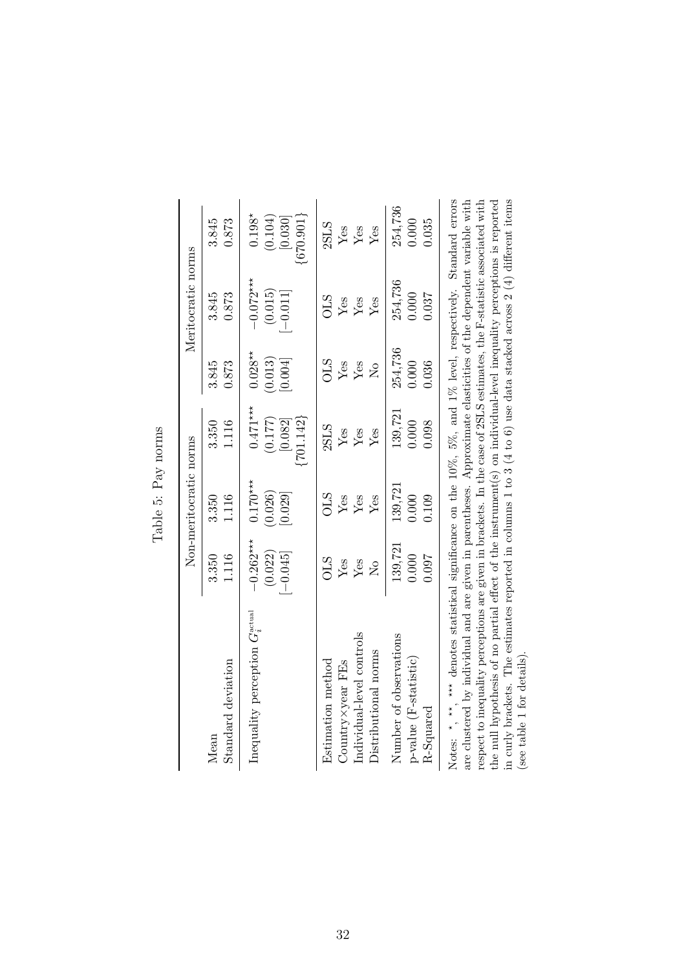|                                                                                                                                                                                                                                                                                                                                                                                                                                                                                                                                                                                                                                            |                                    | Non-meritocratic norms           |                                                   |                                 | Meritocratic norms                   |                                                 |
|--------------------------------------------------------------------------------------------------------------------------------------------------------------------------------------------------------------------------------------------------------------------------------------------------------------------------------------------------------------------------------------------------------------------------------------------------------------------------------------------------------------------------------------------------------------------------------------------------------------------------------------------|------------------------------------|----------------------------------|---------------------------------------------------|---------------------------------|--------------------------------------|-------------------------------------------------|
| Standard deviation                                                                                                                                                                                                                                                                                                                                                                                                                                                                                                                                                                                                                         | 1.116                              | 1.116                            | 1.116                                             | 3.845                           | 3.845                                | 3.845                                           |
| Mean                                                                                                                                                                                                                                                                                                                                                                                                                                                                                                                                                                                                                                       | 3.350                              | 3.350                            | 3.350                                             | 0.873                           | 0.873                                | 0.873                                           |
| Inequality perception $G_{\rm s}^{\rm actual}$                                                                                                                                                                                                                                                                                                                                                                                                                                                                                                                                                                                             | $-0.262***$<br>(0.022)<br>$-0.045$ | $0.170***$<br>(0.026)<br>[0.029] | $0.471***$<br>$\{701.142\}$<br>(0.177)<br>[0.082] | $0.028**$<br>(0.013)<br>[0.004] | $-0.072***$<br>(0.015)<br>$[-0.011]$ | $0.198*$<br>$\{670.901\}$<br>(0.104)<br>[0.030] |
| Individual-level controls                                                                                                                                                                                                                                                                                                                                                                                                                                                                                                                                                                                                                  | <b>STC</b>                         | <b>STC</b>                       | 2SLS                                              | <b>STO</b>                      | <b>STO</b>                           | 2SLS                                            |
| Distributional norms                                                                                                                                                                                                                                                                                                                                                                                                                                                                                                                                                                                                                       | Yes                                | Yes                              | Yes                                               | ${\rm Yes}$                     | Yes                                  | $\rm Yes$                                       |
| $Country \times year$ FEs                                                                                                                                                                                                                                                                                                                                                                                                                                                                                                                                                                                                                  | Yes                                | Yes                              | Yes                                               | Yes                             | Yes                                  | Yes                                             |
| Estimation method                                                                                                                                                                                                                                                                                                                                                                                                                                                                                                                                                                                                                          | $\overline{R}$                     | Yes                              | Yes                                               | $\overline{R}$                  | Yes                                  | Yes                                             |
| Number of observations                                                                                                                                                                                                                                                                                                                                                                                                                                                                                                                                                                                                                     | 139,721                            | 139,721                          | 139,721                                           | 254,736                         | 254,736                              | 254,736                                         |
| $p$ -value (F-statistic)                                                                                                                                                                                                                                                                                                                                                                                                                                                                                                                                                                                                                   | 0.000                              | 0.000                            | 0.000                                             | 0.000                           | 0.000                                | 0.035                                           |
| R-Squared                                                                                                                                                                                                                                                                                                                                                                                                                                                                                                                                                                                                                                  | 760.0                              | 0.109                            | 0.098                                             | 0.036                           | 0.037                                | 0.000                                           |
| in curly brackets. The estimates reported in columns 1 to 3 (4 to 6) use data stacked across 2 (4) different items<br>Notes: *, **, *** denotes statistical significance on the 10%, 5%, and 1% level, respectively. Standard errors<br>respect to inequality perceptions are given in brackets. In the case of 2SLS estimates, the F-statistic associated with<br>are clustered by individual and are given in parentheses. Approximate elasticities of the dependent variable with<br>the null hypothesis of no partial effect of the instrument(s) on individual-level inequality perceptions is reported<br>(see table 1 for details). |                                    |                                  |                                                   |                                 |                                      |                                                 |

Table 5: Pay norms Table 5: Pay norms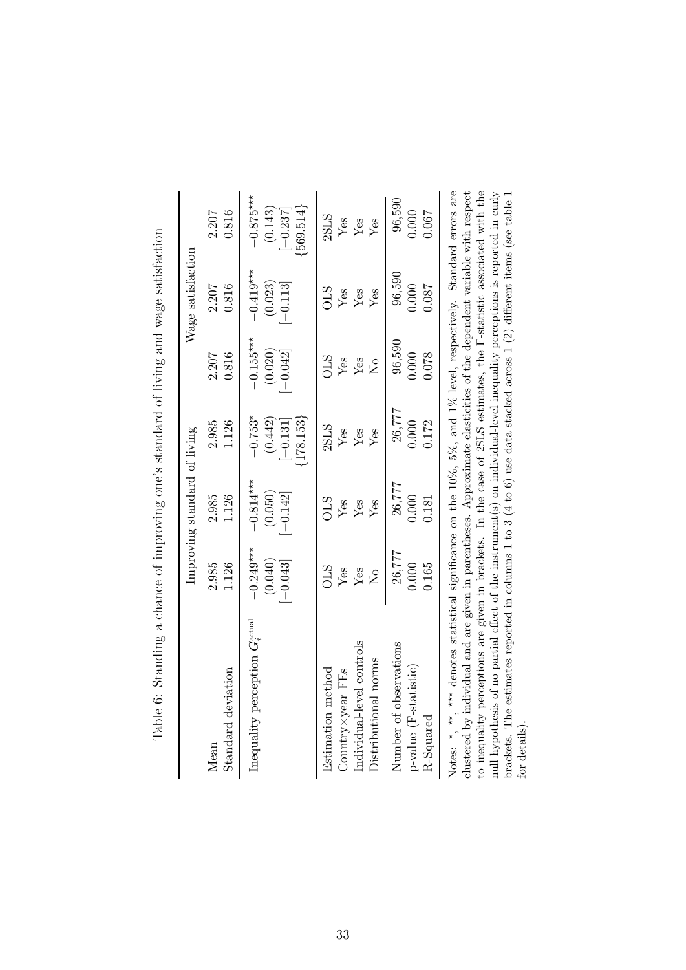|                                                                                                                                                                                                                                                                                                                                                                                                                                                                                                                                                                                                                                            |                                      | Improving standard of living       |                                                     |                                    | Wage satisfaction                  |                                                     |
|--------------------------------------------------------------------------------------------------------------------------------------------------------------------------------------------------------------------------------------------------------------------------------------------------------------------------------------------------------------------------------------------------------------------------------------------------------------------------------------------------------------------------------------------------------------------------------------------------------------------------------------------|--------------------------------------|------------------------------------|-----------------------------------------------------|------------------------------------|------------------------------------|-----------------------------------------------------|
| Standard deviation                                                                                                                                                                                                                                                                                                                                                                                                                                                                                                                                                                                                                         | 2.985                                | 2.985                              | 2.985                                               | 0.816                              | 0.816                              | 0.816                                               |
| Mean                                                                                                                                                                                                                                                                                                                                                                                                                                                                                                                                                                                                                                       | 1.126                                | 1.126                              | 1.126                                               | 2.207                              | 2.207                              | 2.207                                               |
| Inequality perception $G_{\tau}^{\text{actual}}$                                                                                                                                                                                                                                                                                                                                                                                                                                                                                                                                                                                           | $-0.249***$<br>(0.040)<br>$[-0.043]$ | $-0.814***$<br>(0.050)<br>$-0.142$ | $-0.753*$<br>$\{178.153\}$<br>(0.442)<br>$[-0.131]$ | $-0.155***$<br>(0.020)<br>$-0.042$ | $-0.419***$<br>(0.023)<br>$-0.113$ | $-0.875***$<br>${569.514}$<br>(0.143)<br>$[-0.237]$ |
| Individual-level controls                                                                                                                                                                                                                                                                                                                                                                                                                                                                                                                                                                                                                  | STC                                  | STO                                | 2SLS                                                | <b>STO</b>                         | STO                                | 2SLS                                                |
| Distributional norms                                                                                                                                                                                                                                                                                                                                                                                                                                                                                                                                                                                                                       | Yes                                  | Yes                                | Yes                                                 | Yes                                | Yes                                | ${\rm Yes}$                                         |
| Estimation method                                                                                                                                                                                                                                                                                                                                                                                                                                                                                                                                                                                                                          | Yes                                  | Yes                                | Yes                                                 | ${\rm Yes}$                        | Yes                                | ${\rm Yes}$                                         |
| Country × year FEs                                                                                                                                                                                                                                                                                                                                                                                                                                                                                                                                                                                                                         | $\overline{R}$                       | Yes                                | Yes                                                 | $\overline{S}$                     | Yes                                | Yes                                                 |
| Number of observations                                                                                                                                                                                                                                                                                                                                                                                                                                                                                                                                                                                                                     | 26,777                               | 26,777                             | 26,777                                              | 96,590                             | 96,590                             | 96,590                                              |
| p-value (F-statistic)                                                                                                                                                                                                                                                                                                                                                                                                                                                                                                                                                                                                                      | 0.165                                | 000.                               | 0.172                                               | 0.078                              | 0.087                              | 0.067                                               |
| R-Squared                                                                                                                                                                                                                                                                                                                                                                                                                                                                                                                                                                                                                                  | 0.000                                | 0.181                              | 0.000                                               | 0.000                              | 0.000                              | 0.000                                               |
| to inequality perceptions are given in brackets. In the case of 2SLS estimates, the F-statistic associated with the<br>null hypothesis of no partial effect of the instrument(s) on individual-level inequality perceptions is reported in curly<br>Notes: *, **, *** denotes statistical significance on the 10%, 5%, and 1% level, respectively. Standard errors are<br>clustered by individual and are given in parentheses. Approximate elasticities of the dependent variable with respect<br>brackets. The estimates reported in columns 1 to 3 (4 to 6) use data stacked across 1 (2) different items (see table 1<br>for details). |                                      |                                    |                                                     |                                    |                                    |                                                     |

Table 6: Standing a chance of improving one's standard of living and wage satisfaction Table 6: Standing a chance of improving one's standard of living and wage satisfaction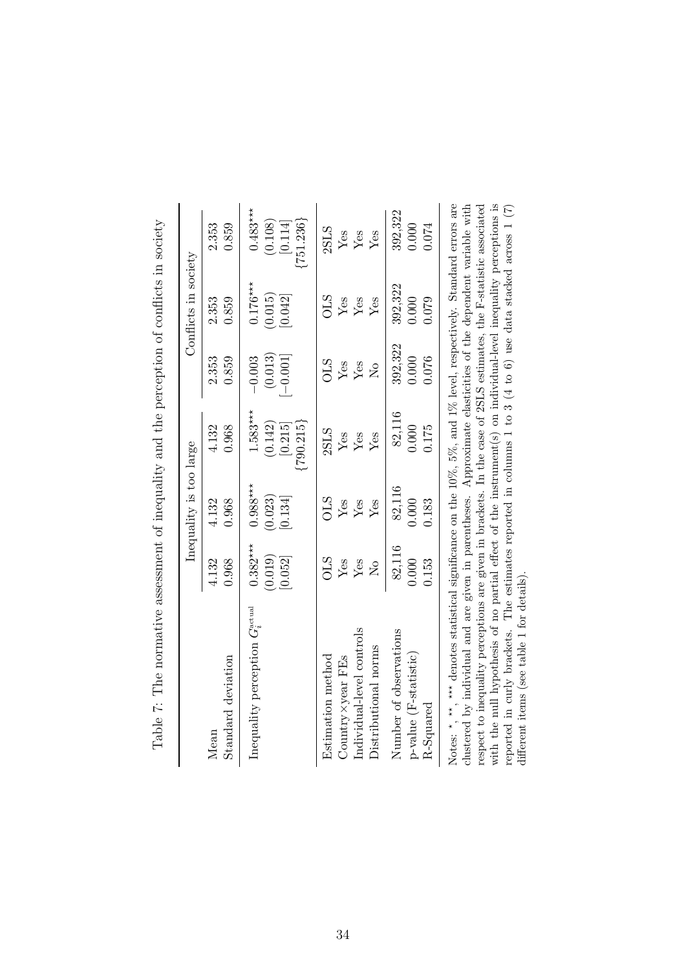|                                                                                                                                                                                                                                                                                                                                                                                                                                                                                                                                                                                                                                                                             |                                  | Inequality is too large          |                                               |                                 | Conflicts in society             |                                                 |
|-----------------------------------------------------------------------------------------------------------------------------------------------------------------------------------------------------------------------------------------------------------------------------------------------------------------------------------------------------------------------------------------------------------------------------------------------------------------------------------------------------------------------------------------------------------------------------------------------------------------------------------------------------------------------------|----------------------------------|----------------------------------|-----------------------------------------------|---------------------------------|----------------------------------|-------------------------------------------------|
| Standard deviation                                                                                                                                                                                                                                                                                                                                                                                                                                                                                                                                                                                                                                                          | 4.132                            | 4.132                            | 4.132                                         | 2.353                           | 2.353                            | 2.353                                           |
| Mean                                                                                                                                                                                                                                                                                                                                                                                                                                                                                                                                                                                                                                                                        | 0.968                            | 0.968                            | 0.968                                         | 0.859                           | 0.859                            | 0.859                                           |
| Inequality perception $G_i^{\text{actual}}$                                                                                                                                                                                                                                                                                                                                                                                                                                                                                                                                                                                                                                 | $0.382***$<br>(0.019)<br>[0.052] | $0.988***$<br>(0.023)<br>[0.134] | $1.583***$<br>(0.142)<br>(790.215)<br>[0.215] | (0.013)<br>$-0.001$<br>$-0.003$ | $0.176***$<br>(0.015)<br>[0.042] | $0.483***$<br>${751.236}$<br>(0.108)<br>[0.114] |
| Individual-level controls                                                                                                                                                                                                                                                                                                                                                                                                                                                                                                                                                                                                                                                   | STO                              | STO                              | 2SLS                                          | STO                             | STO                              | 2SLS                                            |
| Distributional norms                                                                                                                                                                                                                                                                                                                                                                                                                                                                                                                                                                                                                                                        | Yes                              | Yes                              | Yes                                           | Yes                             | Yes                              | Yes                                             |
| Estimation method                                                                                                                                                                                                                                                                                                                                                                                                                                                                                                                                                                                                                                                           | ${\rm Yes}$                      | Yes                              | Yes                                           | Yes                             | ${\rm Yes}$                      | Yes                                             |
| Country × year FEs                                                                                                                                                                                                                                                                                                                                                                                                                                                                                                                                                                                                                                                          | $\overline{\mathsf{X}}$          | Yes                              | Yes                                           | $\tilde{\mathsf{z}}$            | Yes                              | ${\rm Yes}$                                     |
| Number of observations                                                                                                                                                                                                                                                                                                                                                                                                                                                                                                                                                                                                                                                      | 82,116                           | 82,116                           | 82,116                                        | 392,322                         | 392,322                          | 392,322                                         |
| $p$ -value (F-statistic)                                                                                                                                                                                                                                                                                                                                                                                                                                                                                                                                                                                                                                                    | 0.153                            | 0.183                            | 0.175                                         | 0.076                           | 0.079                            | 0.074                                           |
| R-Squared                                                                                                                                                                                                                                                                                                                                                                                                                                                                                                                                                                                                                                                                   | 0.000                            | 0.000                            | 0.000                                         | 0.000                           | 0.000                            | 0.000                                           |
| Notes: $\star$ , $\star\star$ , $\star\star\star$ denotes statistical significance on the 10%, 5%, and 1% level, respectively. Standard errors are<br>with the null hypothesis of no partial effect of the instrument(s) on individual-level inequality perceptions is<br>clustered by individual and are given in parentheses. Approximate elasticities of the dependent variable with<br>reported in curly brackets. The estimates reported in columns 1 to 3 (4 to 6) use data stacked across 1 (7)<br>respect to inequality perceptions are given in brackets. In the case of $2SLS$ estimates, the F-statistic associated<br>different items (see table 1 for details) |                                  |                                  |                                               |                                 |                                  |                                                 |

Table 7: The normative assessment of inequality and the perception of conflicts in society Table 7: The normative assessment of inequality and the perception of conflicts in society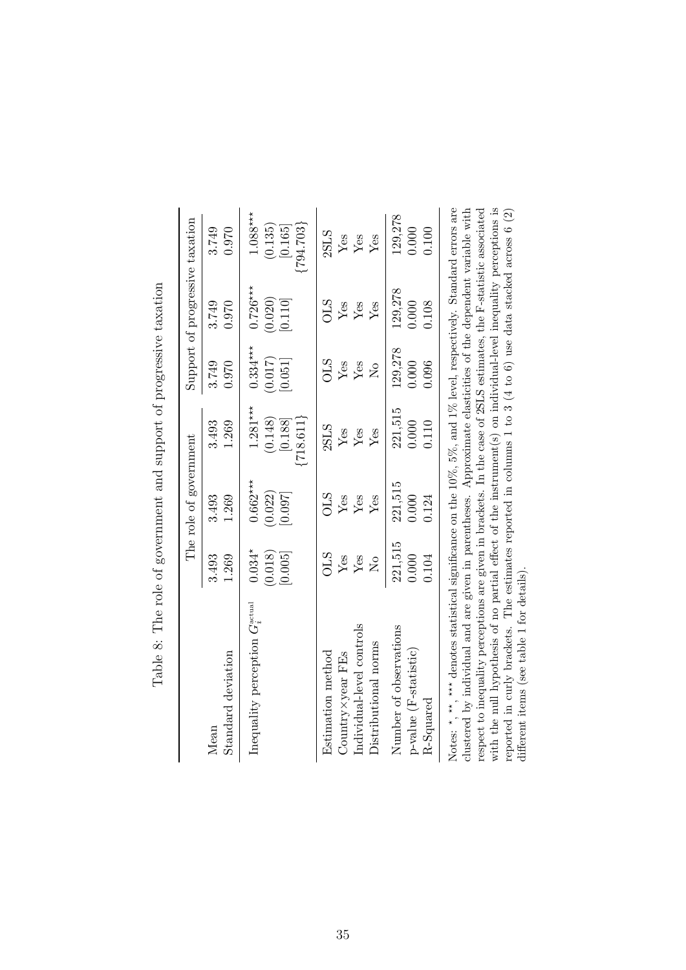|                                                                                                                                                                                                                                                                                                                                                                                                                                                                                                                                                                                                                                                      |                                | The role of government           |                                                   |                                  | Support of progressive taxation  |                                                              |
|------------------------------------------------------------------------------------------------------------------------------------------------------------------------------------------------------------------------------------------------------------------------------------------------------------------------------------------------------------------------------------------------------------------------------------------------------------------------------------------------------------------------------------------------------------------------------------------------------------------------------------------------------|--------------------------------|----------------------------------|---------------------------------------------------|----------------------------------|----------------------------------|--------------------------------------------------------------|
| Standard deviation                                                                                                                                                                                                                                                                                                                                                                                                                                                                                                                                                                                                                                   | 3.493                          | 3.493                            | 3.493                                             | 3.749                            | 3.749                            | 3.749                                                        |
| Mean                                                                                                                                                                                                                                                                                                                                                                                                                                                                                                                                                                                                                                                 | 1.269                          | 1.269                            | 1.269                                             | 0.970                            | 0.970                            | 0.970                                                        |
| Inequality perception $G_{\circ}^{\text{actual}}$                                                                                                                                                                                                                                                                                                                                                                                                                                                                                                                                                                                                    | $0.034*$<br>(0.018)<br>[0.005] | $0.662***$<br>(0.022)<br>[0.097] | $1.281***$<br>${718.611}$<br>(0.148)<br>$[0.188]$ | $0.334***$<br>(0.017)<br>[0.051] | $0.726***$<br>(0.020)<br>[0.110] | $1.088***$<br>${794.703}$<br>(0.135)<br>$\left[0.165\right]$ |
| Individual-level controls                                                                                                                                                                                                                                                                                                                                                                                                                                                                                                                                                                                                                            | <b>OLS</b>                     | SLO                              | 2SLS                                              | SLO                              | <b>CTO</b>                       | 2SLS                                                         |
| Distributional norms                                                                                                                                                                                                                                                                                                                                                                                                                                                                                                                                                                                                                                 | Yes                            | Yes                              | Yes                                               | Yes                              | Yes                              | Yes                                                          |
| $Country \times year$ FEs                                                                                                                                                                                                                                                                                                                                                                                                                                                                                                                                                                                                                            | Yes                            | Yes                              | ${\rm Yes}$                                       | Yes                              | ${\rm Yes}$                      | ${\rm Yes}$                                                  |
| Estimation method                                                                                                                                                                                                                                                                                                                                                                                                                                                                                                                                                                                                                                    | $\overline{R}$                 | Yes                              | Yes                                               | $\mathsf{S}^{\mathsf{O}}$        | Yes                              | Yes                                                          |
| Number of observations                                                                                                                                                                                                                                                                                                                                                                                                                                                                                                                                                                                                                               | 221,515                        | 221,515                          | 221,515                                           | 129,278                          | 129,278                          | 129,278                                                      |
| $p$ -value (F-statistic)                                                                                                                                                                                                                                                                                                                                                                                                                                                                                                                                                                                                                             | 0.104                          | 0.124                            | 0.000                                             | 0.096                            | 0.108                            | 0.100                                                        |
| R-Squared                                                                                                                                                                                                                                                                                                                                                                                                                                                                                                                                                                                                                                            | 0.000                          | 0.000                            | 0.110                                             | 0.000                            | 0.000                            | 0.000                                                        |
| with the null hypothesis of no partial effect of the instrument(s) on individual-level inequality perceptions is<br>Notes: *, **, *** denotes statistical significance on the $10\%$ , $5\%$ , and $1\%$ level, respectively. Standard errors are<br>respect to inequality perceptions are given in brackets. In the case of 2SLS estimates, the F-statistic associated<br>clustered by individual and are given in parentheses. Approximate elasticities of the dependent variable with<br>reported in curly brackets. The estimates reported in columns 1 to 3 (4 to 6) use data stacked across 6 (2)<br>different items (see table 1 for details) |                                |                                  |                                                   |                                  |                                  |                                                              |

Table 8: The role of government and support of progressive taxation Table 8: The role of government and support of progressive taxation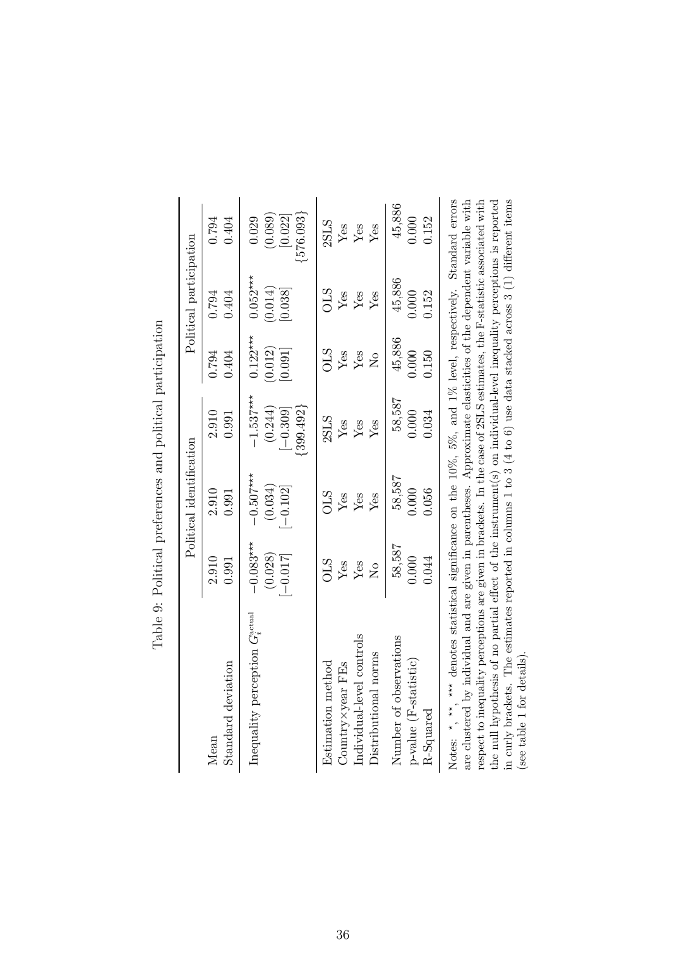|                                                                                                                                                                                                                                                                                                                                                                                                                                                                                                                                                                                                                                                                      |                                      | Political identification             |                                                       |                                  | Political participation          |                                            |
|----------------------------------------------------------------------------------------------------------------------------------------------------------------------------------------------------------------------------------------------------------------------------------------------------------------------------------------------------------------------------------------------------------------------------------------------------------------------------------------------------------------------------------------------------------------------------------------------------------------------------------------------------------------------|--------------------------------------|--------------------------------------|-------------------------------------------------------|----------------------------------|----------------------------------|--------------------------------------------|
| Standard deviation                                                                                                                                                                                                                                                                                                                                                                                                                                                                                                                                                                                                                                                   | 2.910                                | 2.910                                | 2.910                                                 | 0.794                            | 0.794                            | 0.404                                      |
| Mean                                                                                                                                                                                                                                                                                                                                                                                                                                                                                                                                                                                                                                                                 | 0.991                                | 0.991                                | 0.991                                                 | 0.404                            | 0.404                            | 0.794                                      |
| Inequality perception $G_{\rm s}^{\rm actual}$                                                                                                                                                                                                                                                                                                                                                                                                                                                                                                                                                                                                                       | $-0.083***$<br>(0.028)<br>$[-0.017]$ | $-0.507***$<br>(0.034)<br>$[-0.102]$ | $-1.537***$<br>(0.244)<br>$\{399.492\}$<br>$[-0.309]$ | $0.122***$<br>(0.012)<br>[160.0] | $0.052***$<br>(0.014)<br>[0.038] | (0.089)<br>${576.093}$<br>[0.022]<br>0.029 |
| Individual-level controls                                                                                                                                                                                                                                                                                                                                                                                                                                                                                                                                                                                                                                            | <b>OLS</b>                           | <b>OLS</b>                           | 2SLS                                                  | <b>OLS</b>                       | <b>OLS</b>                       | 2SLS                                       |
| Distributional norms                                                                                                                                                                                                                                                                                                                                                                                                                                                                                                                                                                                                                                                 | Yes                                  | Yes                                  | ${\rm Yes}$                                           | Yes                              | Yes                              | Yes                                        |
| $Country \times year$ FEs                                                                                                                                                                                                                                                                                                                                                                                                                                                                                                                                                                                                                                            | Yes                                  | Yes                                  | Yes                                                   | Yes                              | ${\rm Yes}$                      | Yes                                        |
| Estimation method                                                                                                                                                                                                                                                                                                                                                                                                                                                                                                                                                                                                                                                    | $\overline{S}$                       | ${\rm Yes}$                          | Yes                                                   | $\overline{R}$                   | Yes                              | Yes                                        |
| Number of observations                                                                                                                                                                                                                                                                                                                                                                                                                                                                                                                                                                                                                                               | 58,587                               | 58,587                               | 58,587                                                | 45,886                           | 45,886                           | 45,886                                     |
| p-value (F-statistic)                                                                                                                                                                                                                                                                                                                                                                                                                                                                                                                                                                                                                                                | 0.044                                | 0.056                                | 0.000                                                 | 0.150                            | 0.152                            | 0.152                                      |
| R-Squared                                                                                                                                                                                                                                                                                                                                                                                                                                                                                                                                                                                                                                                            | 0.000                                | 0.000                                | 0.034                                                 | 0.000                            | 0.000                            | 0.000                                      |
| in curly brackets. The estimates reported in columns 1 to 3 (4 to 6) use data stacked across 3 (1) different items<br>Notes: $\star$ , $\star\star$ , $\star\star$ denotes statistical significance on the 10%, 5%, and 1% level, respectively. Standard errors<br>are clustered by individual and are given in parentheses. Approximate elasticities of the dependent variable with<br>the null hypothesis of no partial effect of the instrument(s) on individual-level inequality perceptions is reported<br>respect to inequality perceptions are given in brackets. In the case of 2SLS estimates, the F-statistic associated with<br>(see table 1 for details) |                                      |                                      |                                                       |                                  |                                  |                                            |

Table 9: Political preferences and political participation Table 9: Political preferences and political participation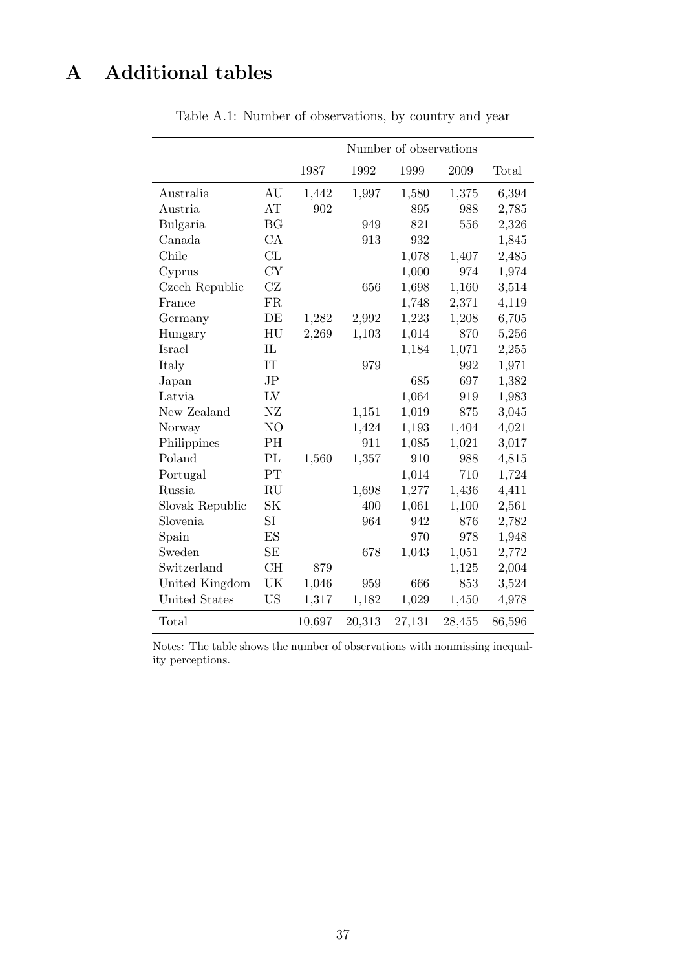# A Additional tables

|                      |                |        |        | Number of observations |        |        |
|----------------------|----------------|--------|--------|------------------------|--------|--------|
|                      |                | 1987   | 1992   | 1999                   | 2009   | Total  |
| Australia            | AU             | 1,442  | 1,997  | 1,580                  | 1,375  | 6,394  |
| Austria              | AT             | 902    |        | 895                    | 988    | 2,785  |
| Bulgaria             | BG             |        | 949    | 821                    | 556    | 2,326  |
| Canada               | CA             |        | 913    | 932                    |        | 1,845  |
| Chile                | CL             |        |        | 1,078                  | 1,407  | 2,485  |
| Cyprus               | <b>CY</b>      |        |        | 1,000                  | 974    | 1,974  |
| Czech Republic       | CZ             |        | 656    | 1,698                  | 1,160  | 3,514  |
| France               | <b>FR</b>      |        |        | 1,748                  | 2,371  | 4,119  |
| Germany              | DE             | 1,282  | 2,992  | 1,223                  | 1,208  | 6,705  |
| Hungary              | HU             | 2,269  | 1,103  | 1,014                  | 870    | 5,256  |
| Israel               | IL             |        |        | 1,184                  | 1,071  | 2,255  |
| Italy                | IT             |        | 979    |                        | 992    | 1,971  |
| Japan                | JP             |        |        | 685                    | 697    | 1,382  |
| Latvia               | LV             |        |        | 1,064                  | 919    | 1,983  |
| New Zealand          | NZ             |        | 1,151  | 1,019                  | 875    | 3,045  |
| Norway               | N <sub>O</sub> |        | 1,424  | 1,193                  | 1,404  | 4,021  |
| Philippines          | PH             |        | 911    | 1,085                  | 1,021  | 3,017  |
| Poland               | PL             | 1,560  | 1,357  | 910                    | 988    | 4,815  |
| Portugal             | PT             |        |        | 1,014                  | 710    | 1,724  |
| Russia               | RU             |        | 1,698  | 1,277                  | 1,436  | 4,411  |
| Slovak Republic      | SK             |        | 400    | 1,061                  | 1,100  | 2,561  |
| Slovenia             | SI             |        | 964    | 942                    | 876    | 2,782  |
| Spain                | ES             |        |        | 970                    | 978    | 1,948  |
| Sweden               | <b>SE</b>      |        | 678    | 1,043                  | 1,051  | 2,772  |
| Switzerland          | CH             | 879    |        |                        | 1,125  | 2,004  |
| United Kingdom       | UK             | 1,046  | 959    | 666                    | 853    | 3,524  |
| <b>United States</b> | <b>US</b>      | 1,317  | 1,182  | 1,029                  | 1,450  | 4,978  |
| Total                |                | 10,697 | 20,313 | 27,131                 | 28,455 | 86,596 |

Table A.1: Number of observations, by country and year

Notes: The table shows the number of observations with nonmissing inequality perceptions.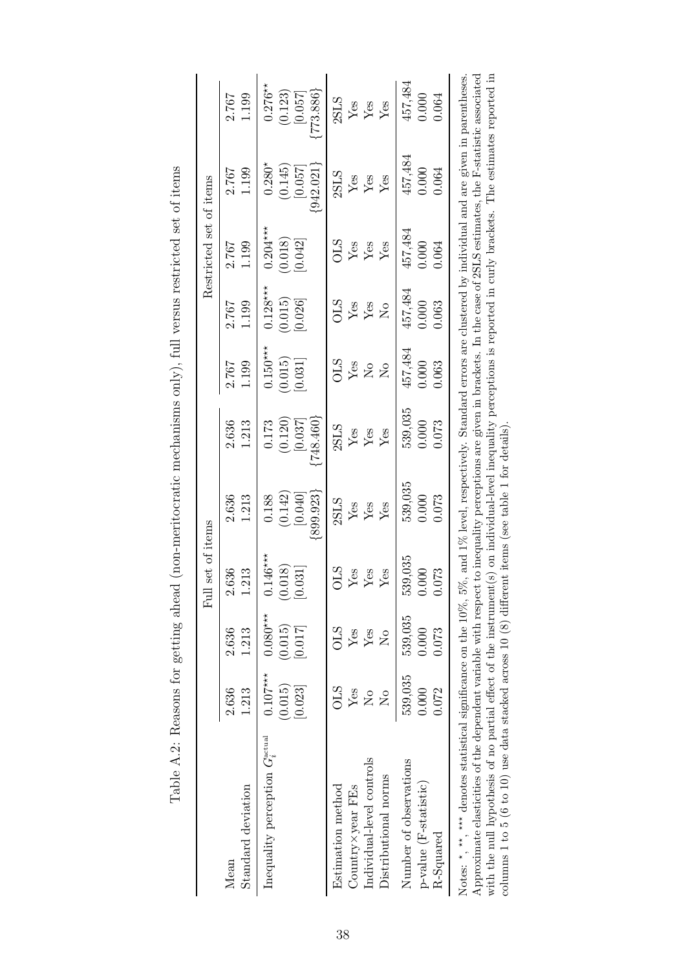|                                                                                                                                                                                                                                                                                                                                                                                                                                                                                                                                    |                                                                      |                                                          | set of items<br>$_{\rm{Eul}}$                   |                                            |                                          |                                                  |                                                                       | Restricted set of items               |                                             |                                            |
|------------------------------------------------------------------------------------------------------------------------------------------------------------------------------------------------------------------------------------------------------------------------------------------------------------------------------------------------------------------------------------------------------------------------------------------------------------------------------------------------------------------------------------|----------------------------------------------------------------------|----------------------------------------------------------|-------------------------------------------------|--------------------------------------------|------------------------------------------|--------------------------------------------------|-----------------------------------------------------------------------|---------------------------------------|---------------------------------------------|--------------------------------------------|
| Standard deviation<br>Mean                                                                                                                                                                                                                                                                                                                                                                                                                                                                                                         | 2.636<br>1.213                                                       | 2.636<br>1.213                                           | 2.636<br>213                                    | 2.636<br>1.213                             | 2.636<br>1.213                           | 1.199<br>2.767                                   | 2.767<br>1.199                                                        | 2.767<br>1.199                        | 2.767<br>1.199                              | 2.767<br>1.199                             |
| Inequality perception $G_i^{\text{actual}}$                                                                                                                                                                                                                                                                                                                                                                                                                                                                                        | $0.107***$<br>(0.015)<br>[0.023]                                     | $0.080***$<br>(0.015)<br>[0.017]                         | $.146***$<br>(0.018)<br>[0.031]                 | ${899.923}$<br>(0.142)<br>0.188<br>[0.040] | [748.460]<br>(0.120)<br>[0.037]<br>0.173 | $0.150***$<br>(0.015)<br>[0.031]                 | $0.128***$<br>(0.015)<br>[0.026]                                      | $0.204***$<br>(0.018)<br>[0.042]      | $0.280*$<br>(0.145)<br>[0.057]<br>[942.021] | $0.276**$<br>773.886<br>(0.123)<br>[0.057] |
| Individual-level controls<br>Distributional norms<br>Estimation method<br>Country × year FEs                                                                                                                                                                                                                                                                                                                                                                                                                                       | <b>OLS</b><br>Yes<br>$\mathsf{S}^{\mathsf{O}}$<br>$\mathsf{\hat{z}}$ | <b>STO</b><br>$Y$ es<br>Yes<br>$\mathsf{S}^{\mathsf{O}}$ | <b>OLS</b><br>Yes<br>${\rm Yes}$<br>${\rm Yes}$ | 2SLS<br>$\frac{Y}{Y}$ es<br>Yes            | 2SLS<br>$\rm Yes$<br>$\rm Yes$<br>Yes    | STO<br>${\rm Yes}$<br>$\Sigma$<br>$\overline{R}$ | <b>STC</b><br>${\rm Yes}$<br>${\rm Yes}$<br>$\mathsf{S}^{\mathsf{O}}$ | <b>STC</b><br>$\frac{Y}{Y}$ es<br>Yes | 2SLS<br>${\rm Yes}$<br>Yes<br>Yes           | 2SLS<br>$\frac{Y}{Y}$ es $\frac{Y}{Y}$ es  |
| Number of observations<br>p-value (F-statistic)<br>R-Squared                                                                                                                                                                                                                                                                                                                                                                                                                                                                       | 539,035<br>0.000<br>0.072                                            | 539,035<br>0.000<br>0.073                                | 539,035<br>000.1<br>0.073                       | 539,035<br>0.000<br>0.073                  | 539,035<br>0.073<br>0.000                | 457,484<br>0.000<br>0.063                        | 457,484<br>0.063<br>0.000                                             | 457,484<br>0.000<br>0.064             | 457,484<br>0.000<br>0.064                   | 457,484<br>0.000<br>0.064                  |
| Approximate elasticities of the dependent variable with respect to inequality perceptions are given in brackets. In the case of 2SLS estimates, the F-statistic associated<br>with the null hypothesis of no partial effect of the instrument(s) on individual-level inequality perceptions is reported in curly brackets. The estimates reported in<br>Notes: $*$ , $**$ , denotes statistical significance on the 10%, 5%, and 1% level, respectively. Standard errors are clustered by individual and are given in parentheses. |                                                                      |                                                          |                                                 |                                            |                                          |                                                  |                                                                       |                                       |                                             |                                            |

columns 1 to 5 (6 to 10) use data stacked across 10 (8) different items (see table 1 for details).

Table A.2: Reasons for getting ahead (non-meritocratic mechanisms only), full versus restricted set of items Table A.2: Reasons for getting ahead (non-meritocratic mechanisms only), full versus restricted set of items